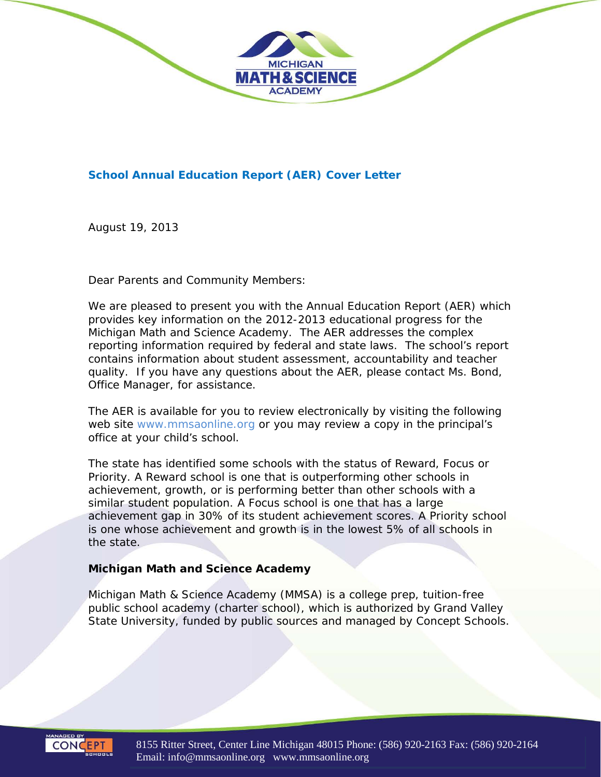

#### **School Annual Education Report (AER) Cover Letter**

August 19, 2013

Dear Parents and Community Members:

We are pleased to present you with the Annual Education Report (AER) which provides key information on the 2012-2013 educational progress for the Michigan Math and Science Academy. The AER addresses the complex reporting information required by federal and state laws. The school's report contains information about student assessment, accountability and teacher quality. If you have any questions about the AER, please contact Ms. Bond, Office Manager, for assistance.

The AER is available for you to review electronically by visiting the following web site www.mmsaonline.org or you may review a copy in the principal's office at your child's school.

The state has identified some schools with the status of Reward, Focus or Priority. A Reward school is one that is outperforming other schools in achievement, growth, or is performing better than other schools with a similar student population. A Focus school is one that has a large achievement gap in 30% of its student achievement scores. A Priority school is one whose achievement and growth is in the lowest 5% of all schools in the state.

#### *Michigan Math and Science Academy*

Michigan Math & Science Academy (MMSA) is a college prep, tuition-free public school academy (charter school), which is authorized by Grand Valley State University, funded by public sources and managed by Concept Schools.



8155 Ritter Street, Center Line Michigan 48015 Phone: (586) 920-2163 Fax: (586) 920-2164 Email: info@mmsaonline.org www.mmsaonline.org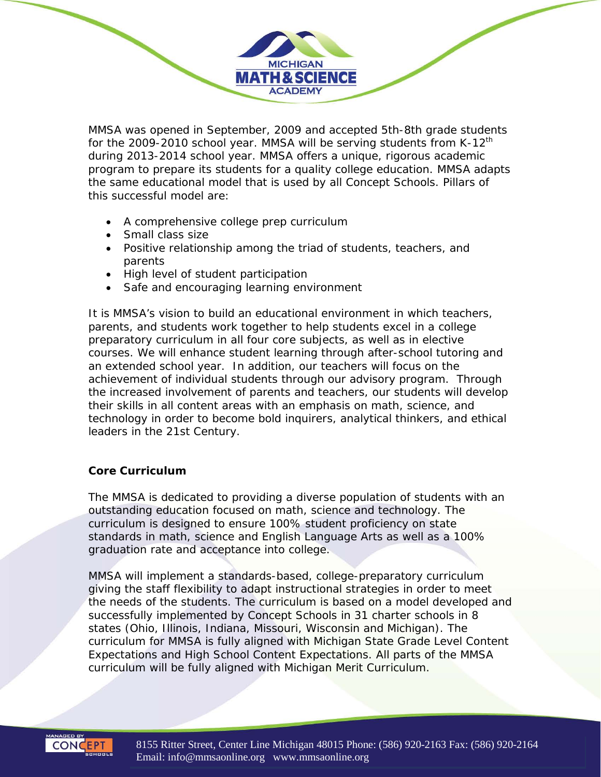MMSA was opened in September, 2009 and accepted 5th-8th grade students for the 2009-2010 school year. MMSA will be serving students from K-12<sup>th</sup> during 2013-2014 school year. MMSA offers a unique, rigorous academic program to prepare its students for a quality college education. MMSA adapts the same educational model that is used by all Concept Schools. Pillars of this successful model are:

**MICHIGAN MATH & SCIENCE ACADEMY** 

- A comprehensive college prep curriculum
- Small class size
- Positive relationship among the triad of students, teachers, and parents
- High level of student participation
- Safe and encouraging learning environment

It is MMSA's vision to build an educational environment in which teachers, parents, and students work together to help students excel in a college preparatory curriculum in all four core subjects, as well as in elective courses. We will enhance student learning through after-school tutoring and an extended school year. In addition, our teachers will focus on the achievement of individual students through our advisory program. Through the increased involvement of parents and teachers, our students will develop their skills in all content areas with an emphasis on math, science, and technology in order to become bold inquirers, analytical thinkers, and ethical leaders in the 21st Century.

### *Core Curriculum*

The MMSA is dedicated to providing a diverse population of students with an outstanding education focused on math, science and technology. The curriculum is designed to ensure 100% student proficiency on state standards in math, science and English Language Arts as well as a 100% graduation rate and acceptance into college.

MMSA will implement a standards-based, college-preparatory curriculum giving the staff flexibility to adapt instructional strategies in order to meet the needs of the students. The curriculum is based on a model developed and successfully implemented by Concept Schools in 31 charter schools in 8 states (Ohio, Illinois, Indiana, Missouri, Wisconsin and Michigan). The curriculum for MMSA is fully aligned with Michigan State Grade Level Content Expectations and High School Content Expectations. All parts of the MMSA curriculum will be fully aligned with Michigan Merit Curriculum.

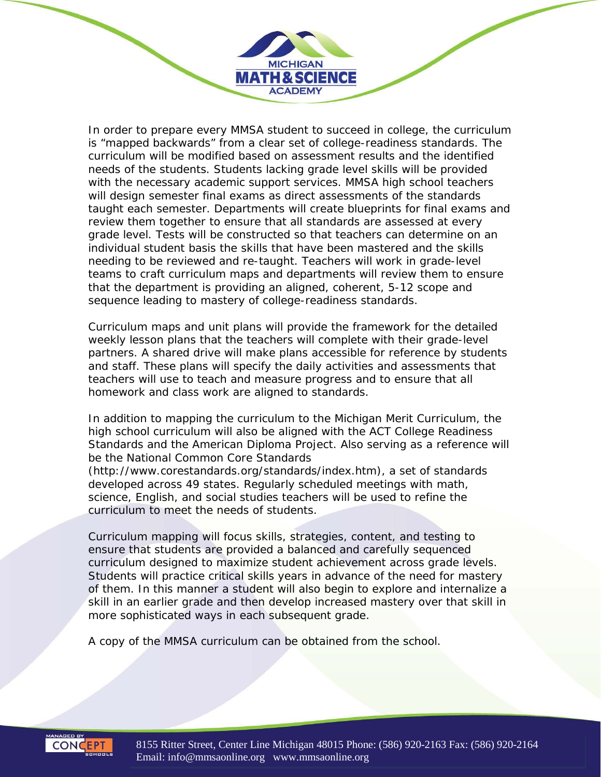In order to prepare every MMSA student to succeed in college, the curriculum is "mapped backwards" from a clear set of college-readiness standards. The curriculum will be modified based on assessment results and the identified needs of the students. Students lacking grade level skills will be provided with the necessary academic support services. MMSA high school teachers will design semester final exams as direct assessments of the standards taught each semester. Departments will create blueprints for final exams and review them together to ensure that all standards are assessed at every grade level. Tests will be constructed so that teachers can determine on an individual student basis the skills that have been mastered and the skills needing to be reviewed and re-taught. Teachers will work in grade-level teams to craft curriculum maps and departments will review them to ensure that the department is providing an aligned, coherent, 5-12 scope and sequence leading to mastery of college-readiness standards.

**MICHIGAN MATH & SCIENCE ACADEMY** 

Curriculum maps and unit plans will provide the framework for the detailed weekly lesson plans that the teachers will complete with their grade-level partners. A shared drive will make plans accessible for reference by students and staff. These plans will specify the daily activities and assessments that teachers will use to teach and measure progress and to ensure that all homework and class work are aligned to standards.

In addition to mapping the curriculum to the Michigan Merit Curriculum, the high school curriculum will also be aligned with the ACT College Readiness Standards and the American Diploma Project. Also serving as a reference will be the National Common Core Standards

(http://www.corestandards.org/standards/index.htm), a set of standards developed across 49 states. Regularly scheduled meetings with math, science, English, and social studies teachers will be used to refine the curriculum to meet the needs of students.

Curriculum mapping will focus skills, strategies, content, and testing to ensure that students are provided a balanced and carefully sequenced curriculum designed to maximize student achievement across grade levels. Students will practice critical skills years in advance of the need for mastery of them. In this manner a student will also begin to explore and internalize a skill in an earlier grade and then develop increased mastery over that skill in more sophisticated ways in each subsequent grade.

A copy of the MMSA curriculum can be obtained from the school.

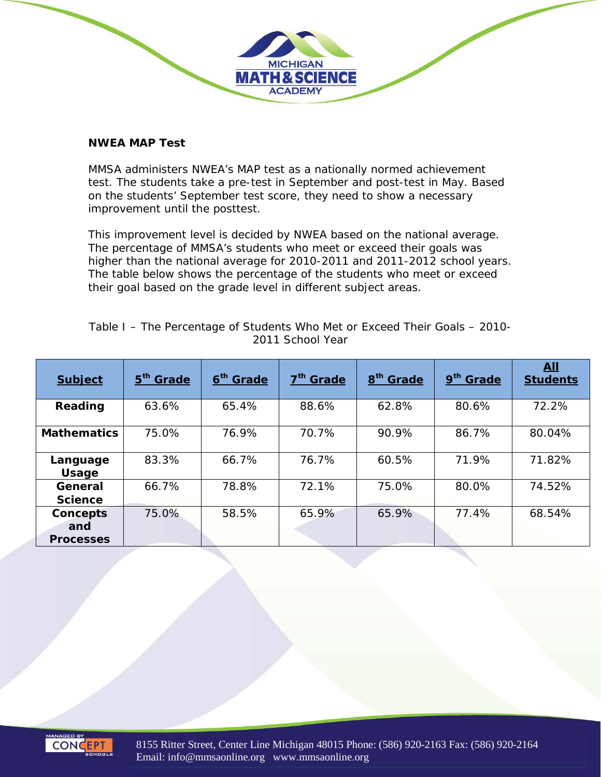

MMSA administers NWEA's MAP test as a nationally normed achievement test. The students take a pre-test in September and post-test in May. Based on the students' September test score, they need to show a necessary improvement until the posttest.

**MICHIGAN MATH & SCIENCE ACADEMY** 

This improvement level is decided by NWEA based on the national average. The percentage of MMSA's students who meet or exceed their goals was higher than the national average for 2010-2011 and 2011-2012 school years. The table below shows the percentage of the students who meet or exceed their goal based on the grade level in different subject areas.

| <b>Subject</b>                             | 5 <sup>th</sup> Grade   | 6 <sup>th</sup> Grade | 7 <sup>th</sup> Grade | 8 <sup>th</sup> Grade | 9 <sup>th</sup> Grade | <b>All</b><br><b>Students</b> |  |
|--------------------------------------------|-------------------------|-----------------------|-----------------------|-----------------------|-----------------------|-------------------------------|--|
| Reading                                    | 88.6%<br>63.6%<br>65.4% |                       | 62.8%                 | 80.6%                 | 72.2%                 |                               |  |
| <b>Mathematics</b>                         | 75.0%                   | 76.9%                 | 70.7%                 | 90.9%                 | 86.7%                 | 80.04%                        |  |
| Language<br>Usage                          | 83.3%                   | 66.7%                 | 76.7%                 | 60.5%                 | 71.9%                 | 71.82%                        |  |
| General<br><b>Science</b>                  | 66.7%                   | 78.8%                 | 72.1%                 | 75.0%                 | 80.0%                 | 74.52%                        |  |
| <b>Concepts</b><br>and<br><b>Processes</b> | 75.0%                   | 58.5%                 | 65.9%                 | 65.9%                 | 77.4%                 | 68.54%                        |  |

*Table I – The Percentage of Students Who Met or Exceed Their Goals – 2010- 2011 School Year*



8155 Ritter Street, Center Line Michigan 48015 Phone: (586) 920-2163 Fax: (586) 920-2164 Email: info@mmsaonline.org www.mmsaonline.org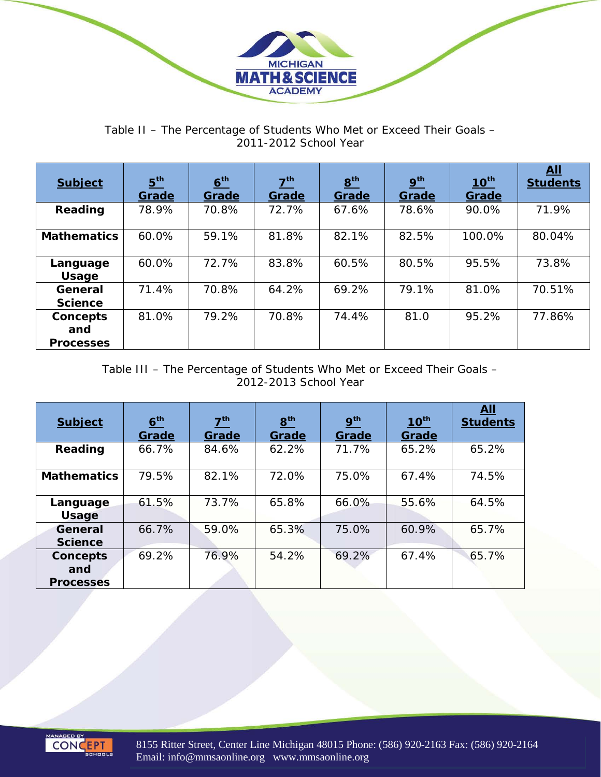

*Table II – The Percentage of Students Who Met or Exceed Their Goals – 2011-2012 School Year*

| <b>Subject</b>                      | 5 <sup>th</sup><br>Grade | 6 <sup>th</sup><br>Grade | 7 <sup>th</sup><br>Grade | 8 <sup>th</sup><br>Grade | 9 <sup>th</sup><br>Grade | $10^{th}$<br>Grade | All<br><b>Students</b> |
|-------------------------------------|--------------------------|--------------------------|--------------------------|--------------------------|--------------------------|--------------------|------------------------|
| Reading                             | 78.9%                    | 70.8%                    | 72.7%                    | 67.6%                    | 78.6%                    | 90.0%              | 71.9%                  |
| <b>Mathematics</b>                  | 60.0%                    | 59.1%                    | 81.8%                    | 82.1%                    | 82.5%                    | 100.0%             | 80.04%                 |
| Language<br><b>Usage</b>            | 60.0%                    | 72.7%                    | 83.8%                    | 60.5%                    | 80.5%                    | 95.5%              | 73.8%                  |
| General<br><b>Science</b>           | 71.4%                    | 70.8%                    | 64.2%                    | 69.2%                    | 79.1%                    | 81.0%              | 70.51%                 |
| Concepts<br>and<br><b>Processes</b> | 81.0%                    | 79.2%                    | 70.8%                    | 74.4%                    | 81.0                     | 95.2%              | 77.86%                 |

*Table III – The Percentage of Students Who Met or Exceed Their Goals – 2012-2013 School Year*

| <b>Subject</b>            | 6 <sup>th</sup><br>Grade | 7 <sup>th</sup><br>Grade | 8 <sup>th</sup><br>Grade | 9 <sup>th</sup><br>Grade | $10^{th}$<br>Grade | All<br><b>Students</b> |
|---------------------------|--------------------------|--------------------------|--------------------------|--------------------------|--------------------|------------------------|
| Reading                   | 66.7%                    | 84.6%                    | 62.2%                    | 71.7%                    | 65.2%              | 65.2%                  |
| <b>Mathematics</b>        | 79.5%                    | 82.1%                    | 72.0%                    | 75.0%                    | 67.4%              | 74.5%                  |
| Language<br><b>Usage</b>  | 61.5%                    | 73.7%                    | 65.8%                    | 66.0%                    | 55.6%              | 64.5%                  |
| General<br><b>Science</b> | 66.7%                    | 59.0%                    | 65.3%                    | 75.0%                    | 60.9%              | 65.7%                  |
| Concepts<br>and           | 69.2%                    | 76.9%                    | 54.2%                    | 69.2%                    | 67.4%              | 65.7%                  |
| <b>Processes</b>          |                          |                          |                          |                          |                    |                        |



8155 Ritter Street, Center Line Michigan 48015 Phone: (586) 920-2163 Fax: (586) 920-2164 Email: info@mmsaonline.org www.mmsaonline.org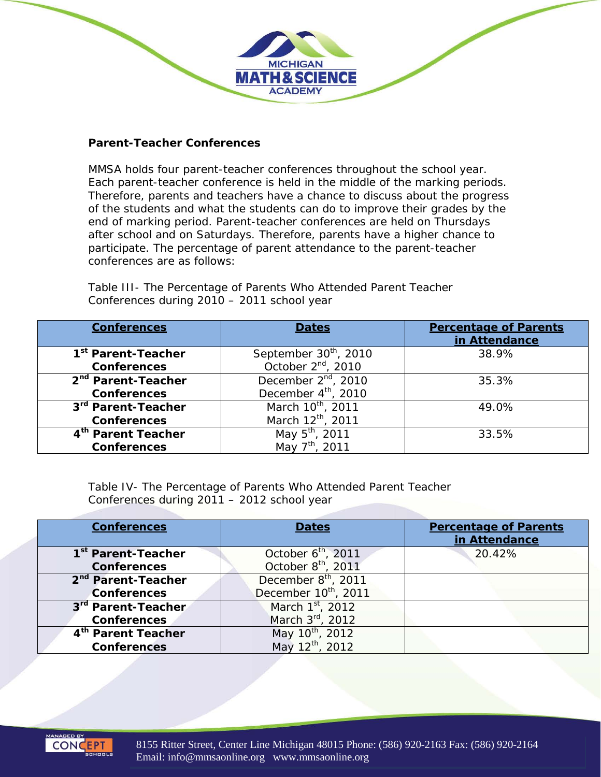#### *Parent-Teacher Conferences*

MMSA holds four parent-teacher conferences throughout the school year. Each parent-teacher conference is held in the middle of the marking periods. Therefore, parents and teachers have a chance to discuss about the progress of the students and what the students can do to improve their grades by the end of marking period. Parent-teacher conferences are held on Thursdays after school and on Saturdays. Therefore, parents have a higher chance to participate. The percentage of parent attendance to the parent-teacher conferences are as follows:

**MICHIGAN MATH & SCIENCE ACADEMY** 

| <b>Conferences</b>             | <b>Dates</b>                      | <b>Percentage of Parents</b><br>in Attendance |
|--------------------------------|-----------------------------------|-----------------------------------------------|
| 1 <sup>st</sup> Parent-Teacher | September 30 <sup>th</sup> , 2010 | 38.9%                                         |
| <b>Conferences</b>             | October $2^{nd}$ , 2010           |                                               |
| 2 <sup>nd</sup> Parent-Teacher | December 2 <sup>nd</sup> , 2010   | 35.3%                                         |
| <b>Conferences</b>             | December 4 <sup>th</sup> , 2010   |                                               |
| 3rd Parent-Teacher             | March 10 <sup>th</sup> , 2011     | 49.0%                                         |
| <b>Conferences</b>             | March 12th, 2011                  |                                               |
| 4 <sup>th</sup> Parent Teacher | May 5 <sup>th</sup> , 2011        | 33.5%                                         |
| <b>Conferences</b>             | May 7 <sup>th</sup> , 2011        |                                               |

*Table III- The Percentage of Parents Who Attended Parent Teacher Conferences during 2010 – 2011 school year*

*Table IV- The Percentage of Parents Who Attended Parent Teacher Conferences during 2011 – 2012 school year*

| <b>Conferences</b>             | <b>Dates</b>                     | <b>Percentage of Parents</b><br>in Attendance |
|--------------------------------|----------------------------------|-----------------------------------------------|
| 1 <sup>st</sup> Parent-Teacher | October 6 <sup>th</sup> , 2011   | 20.42%                                        |
| <b>Conferences</b>             | October 8 <sup>th</sup> , 2011   |                                               |
| 2 <sup>nd</sup> Parent-Teacher | December 8 <sup>th</sup> , 2011  |                                               |
| <b>Conferences</b>             | December 10 <sup>th</sup> , 2011 |                                               |
| 3rd Parent-Teacher             | March 1 <sup>st</sup> , 2012     |                                               |
| <b>Conferences</b>             | March 3rd, 2012                  |                                               |
| 4 <sup>th</sup> Parent Teacher | May 10 <sup>th</sup> , 2012      |                                               |
| <b>Conferences</b>             | May 12th, 2012                   |                                               |

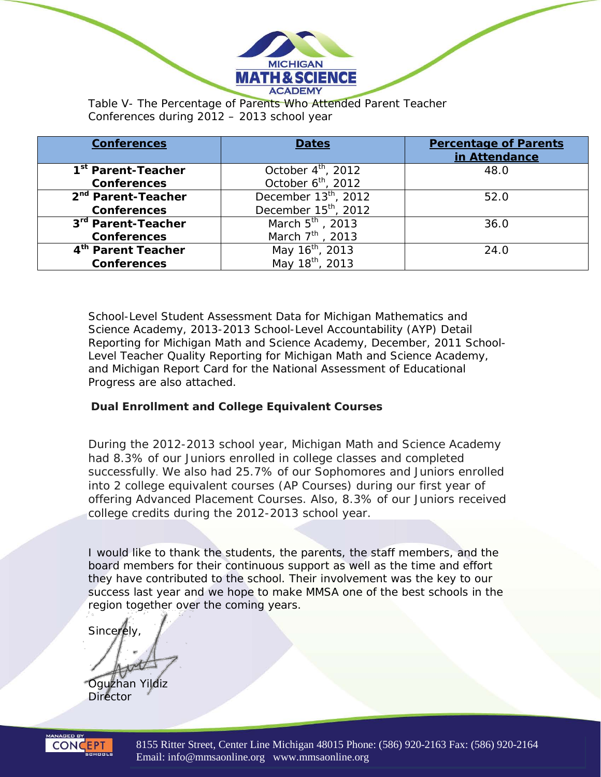

*Conferences during 2012 – 2013 school year*

| <b>Conferences</b>             | <b>Dates</b>                     | <b>Percentage of Parents</b><br>in Attendance |
|--------------------------------|----------------------------------|-----------------------------------------------|
| 1 <sup>st</sup> Parent-Teacher | October $4^{\text{th}}$ , 2012   | 48.0                                          |
| <b>Conferences</b>             | October $6th$ , 2012             |                                               |
| 2 <sup>nd</sup> Parent-Teacher | December 13 <sup>th</sup> , 2012 | 52.0                                          |
| <b>Conferences</b>             | December 15 <sup>th</sup> , 2012 |                                               |
| 3rd Parent-Teacher             | March 5 <sup>th</sup> , 2013     | 36.0                                          |
| <b>Conferences</b>             | March 7 <sup>th</sup> , 2013     |                                               |
| 4th Parent Teacher             | May 16 <sup>th</sup> , 2013      | 24.0                                          |
| <b>Conferences</b>             | May 18 <sup>th</sup> , 2013      |                                               |

School-Level Student Assessment Data for Michigan Mathematics and Science Academy, 2013-2013 School-Level Accountability (AYP) Detail Reporting for Michigan Math and Science Academy, December, 2011 School-Level Teacher Quality Reporting for Michigan Math and Science Academy, and Michigan Report Card for the National Assessment of Educational Progress are also attached.

### *Dual Enrollment and College Equivalent Courses*

During the 2012-2013 school year, Michigan Math and Science Academy had 8.3% of our Juniors enrolled in college classes and completed successfully. We also had 25.7% of our Sophomores and Juniors enrolled into 2 college equivalent courses (AP Courses) during our first year of offering Advanced Placement Courses. Also, 8.3% of our Juniors received college credits during the 2012-2013 school year.

I would like to thank the students, the parents, the staff members, and the board members for their continuous support as well as the time and effort they have contributed to the school. Their involvement was the key to our success last year and we hope to make MMSA one of the best schools in the region together over the coming years.

**Sincerely** 

Oguzhan Yildiz

**Director** 



8155 Ritter Street, Center Line Michigan 48015 Phone: (586) 920-2163 Fax: (586) 920-2164 Email: info@mmsaonline.org www.mmsaonline.org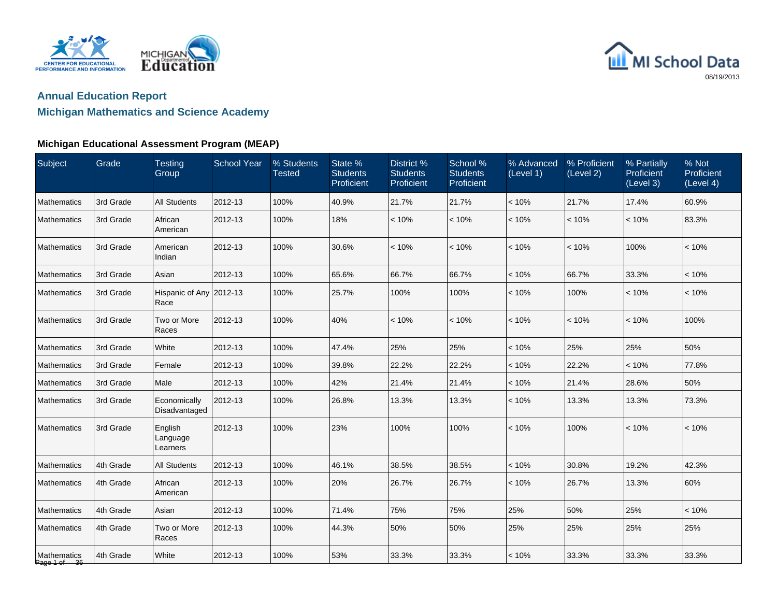



### **Michigan Mathematics and Science Academy**

| Subject                     | Grade     | <b>Testing</b><br>Group         | <b>School Year</b> | % Students<br><b>Tested</b> | State %<br><b>Students</b><br>Proficient | District %<br><b>Students</b><br>Proficient | School %<br><b>Students</b><br>Proficient | % Advanced<br>(Level 1) | % Proficient<br>(Level 2) | % Partially<br>Proficient<br>(Level 3) | % Not<br>Proficient<br>(Level 4) |
|-----------------------------|-----------|---------------------------------|--------------------|-----------------------------|------------------------------------------|---------------------------------------------|-------------------------------------------|-------------------------|---------------------------|----------------------------------------|----------------------------------|
| Mathematics                 | 3rd Grade | <b>All Students</b>             | 2012-13            | 100%                        | 40.9%                                    | 21.7%                                       | 21.7%                                     | < 10%                   | 21.7%                     | 17.4%                                  | 60.9%                            |
| Mathematics                 | 3rd Grade | African<br>American             | 2012-13            | 100%                        | 18%                                      | < 10%                                       | < 10%                                     | < 10%                   | < 10%                     | < 10%                                  | 83.3%                            |
| Mathematics                 | 3rd Grade | American<br>Indian              | 2012-13            | 100%                        | 30.6%                                    | < 10%                                       | < 10%                                     | < 10%                   | < 10%                     | 100%                                   | < 10%                            |
| Mathematics                 | 3rd Grade | Asian                           | 2012-13            | 100%                        | 65.6%                                    | 66.7%                                       | 66.7%                                     | < 10%                   | 66.7%                     | 33.3%                                  | < 10%                            |
| Mathematics                 | 3rd Grade | Hispanic of Any 2012-13<br>Race |                    | 100%                        | 25.7%                                    | 100%                                        | 100%                                      | < 10%                   | 100%                      | < 10%                                  | < 10%                            |
| Mathematics                 | 3rd Grade | Two or More<br>Races            | 2012-13            | 100%                        | 40%                                      | < 10%                                       | < 10%                                     | < 10%                   | < 10%                     | < 10%                                  | 100%                             |
| Mathematics                 | 3rd Grade | White                           | 2012-13            | 100%                        | 47.4%                                    | 25%                                         | 25%                                       | < 10%                   | 25%                       | 25%                                    | 50%                              |
| Mathematics                 | 3rd Grade | Female                          | 2012-13            | 100%                        | 39.8%                                    | 22.2%                                       | 22.2%                                     | < 10%                   | 22.2%                     | $< 10\%$                               | 77.8%                            |
| Mathematics                 | 3rd Grade | Male                            | 2012-13            | 100%                        | 42%                                      | 21.4%                                       | 21.4%                                     | < 10%                   | 21.4%                     | 28.6%                                  | 50%                              |
| Mathematics                 | 3rd Grade | Economically<br>Disadvantaged   | 2012-13            | 100%                        | 26.8%                                    | 13.3%                                       | 13.3%                                     | < 10%                   | 13.3%                     | 13.3%                                  | 73.3%                            |
| <b>Mathematics</b>          | 3rd Grade | English<br>Language<br>Learners | 2012-13            | 100%                        | 23%                                      | 100%                                        | 100%                                      | < 10%                   | 100%                      | < 10%                                  | < 10%                            |
| Mathematics                 | 4th Grade | <b>All Students</b>             | 2012-13            | 100%                        | 46.1%                                    | 38.5%                                       | 38.5%                                     | < 10%                   | 30.8%                     | 19.2%                                  | 42.3%                            |
| Mathematics                 | 4th Grade | African<br>American             | 2012-13            | 100%                        | 20%                                      | 26.7%                                       | 26.7%                                     | < 10%                   | 26.7%                     | 13.3%                                  | 60%                              |
| Mathematics                 | 4th Grade | Asian                           | 2012-13            | 100%                        | 71.4%                                    | 75%                                         | 75%                                       | 25%                     | 50%                       | 25%                                    | < 10%                            |
| Mathematics                 | 4th Grade | Two or More<br>Races            | 2012-13            | 100%                        | 44.3%                                    | 50%                                         | 50%                                       | 25%                     | 25%                       | 25%                                    | 25%                              |
| Mathematics<br>Page 1 of 36 | 4th Grade | White                           | 2012-13            | 100%                        | 53%                                      | 33.3%                                       | 33.3%                                     | < 10%                   | 33.3%                     | 33.3%                                  | 33.3%                            |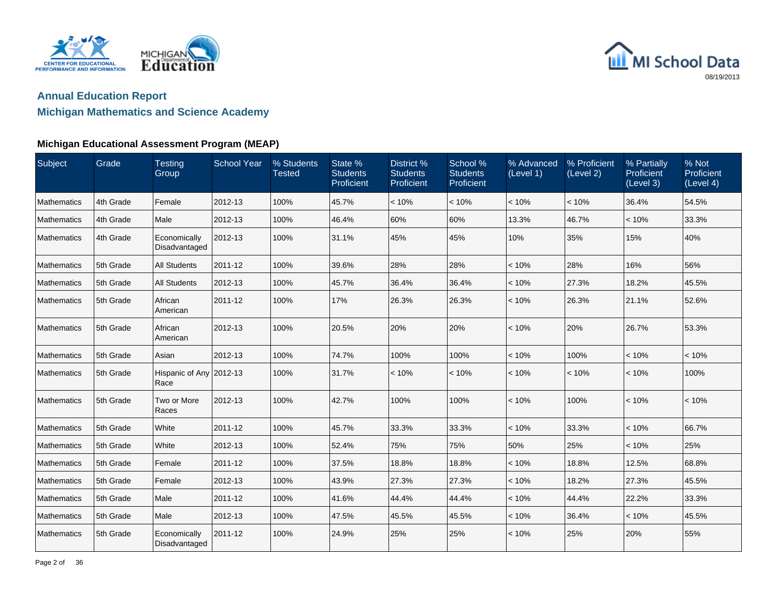



### **Michigan Mathematics and Science Academy**

| Subject     | Grade     | <b>Testing</b><br>Group         | <b>School Year</b> | % Students<br><b>Tested</b> | State %<br><b>Students</b><br>Proficient | District %<br><b>Students</b><br>Proficient | School %<br><b>Students</b><br>Proficient | % Advanced<br>(Level 1) | % Proficient<br>(Level 2) | % Partially<br>Proficient<br>(Level 3) | % Not<br>Proficient<br>(Level 4) |
|-------------|-----------|---------------------------------|--------------------|-----------------------------|------------------------------------------|---------------------------------------------|-------------------------------------------|-------------------------|---------------------------|----------------------------------------|----------------------------------|
| Mathematics | 4th Grade | Female                          | 2012-13            | 100%                        | 45.7%                                    | < 10%                                       | < 10%                                     | < 10%                   | < 10%                     | 36.4%                                  | 54.5%                            |
| Mathematics | 4th Grade | Male                            | 2012-13            | 100%                        | 46.4%                                    | 60%                                         | 60%                                       | 13.3%                   | 46.7%                     | < 10%                                  | 33.3%                            |
| Mathematics | 4th Grade | Economically<br>Disadvantaged   | 2012-13            | 100%                        | 31.1%                                    | 45%                                         | 45%                                       | 10%                     | 35%                       | 15%                                    | 40%                              |
| Mathematics | 5th Grade | <b>All Students</b>             | 2011-12            | 100%                        | 39.6%                                    | 28%                                         | 28%                                       | < 10%                   | 28%                       | 16%                                    | 56%                              |
| Mathematics | 5th Grade | <b>All Students</b>             | 2012-13            | 100%                        | 45.7%                                    | 36.4%                                       | 36.4%                                     | < 10%                   | 27.3%                     | 18.2%                                  | 45.5%                            |
| Mathematics | 5th Grade | African<br>American             | 2011-12            | 100%                        | 17%                                      | 26.3%                                       | 26.3%                                     | < 10%                   | 26.3%                     | 21.1%                                  | 52.6%                            |
| Mathematics | 5th Grade | African<br>American             | 2012-13            | 100%                        | 20.5%                                    | 20%                                         | 20%                                       | < 10%                   | 20%                       | 26.7%                                  | 53.3%                            |
| Mathematics | 5th Grade | Asian                           | 2012-13            | 100%                        | 74.7%                                    | 100%                                        | 100%                                      | < 10%                   | 100%                      | < 10%                                  | < 10%                            |
| Mathematics | 5th Grade | Hispanic of Any 2012-13<br>Race |                    | 100%                        | 31.7%                                    | < 10%                                       | < 10%                                     | < 10%                   | < 10%                     | < 10%                                  | 100%                             |
| Mathematics | 5th Grade | Two or More<br>Races            | 2012-13            | 100%                        | 42.7%                                    | 100%                                        | 100%                                      | < 10%                   | 100%                      | < 10%                                  | < 10%                            |
| Mathematics | 5th Grade | White                           | 2011-12            | 100%                        | 45.7%                                    | 33.3%                                       | 33.3%                                     | < 10%                   | 33.3%                     | < 10%                                  | 66.7%                            |
| Mathematics | 5th Grade | White                           | 2012-13            | 100%                        | 52.4%                                    | 75%                                         | 75%                                       | 50%                     | 25%                       | < 10%                                  | 25%                              |
| Mathematics | 5th Grade | Female                          | 2011-12            | 100%                        | 37.5%                                    | 18.8%                                       | 18.8%                                     | < 10%                   | 18.8%                     | 12.5%                                  | 68.8%                            |
| Mathematics | 5th Grade | Female                          | 2012-13            | 100%                        | 43.9%                                    | 27.3%                                       | 27.3%                                     | < 10%                   | 18.2%                     | 27.3%                                  | 45.5%                            |
| Mathematics | 5th Grade | Male                            | 2011-12            | 100%                        | 41.6%                                    | 44.4%                                       | 44.4%                                     | < 10%                   | 44.4%                     | 22.2%                                  | 33.3%                            |
| Mathematics | 5th Grade | Male                            | 2012-13            | 100%                        | 47.5%                                    | 45.5%                                       | 45.5%                                     | < 10%                   | 36.4%                     | < 10%                                  | 45.5%                            |
| Mathematics | 5th Grade | Economically<br>Disadvantaged   | 2011-12            | 100%                        | 24.9%                                    | 25%                                         | 25%                                       | < 10%                   | 25%                       | 20%                                    | 55%                              |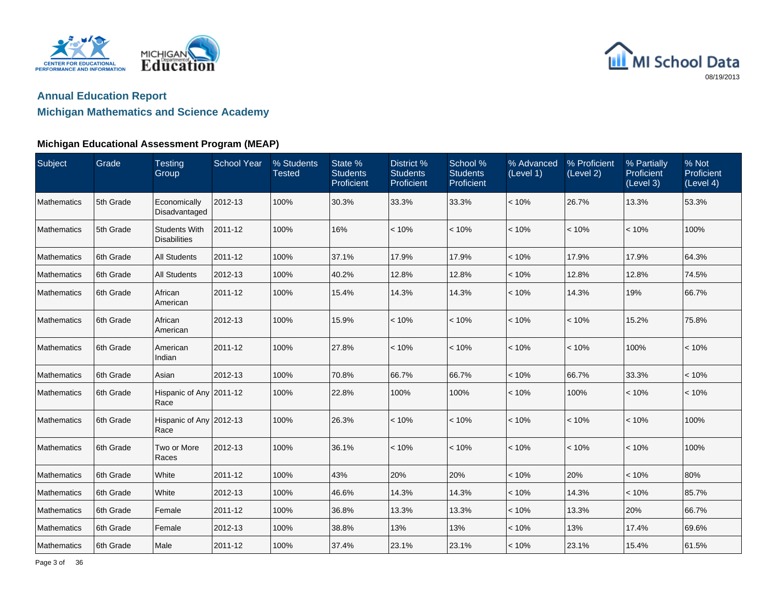



## **Michigan Mathematics and Science Academy**

| Subject            | Grade     | <b>Testing</b><br>Group                     | <b>School Year</b> | % Students<br><b>Tested</b> | State %<br><b>Students</b><br>Proficient | District %<br><b>Students</b><br>Proficient | School %<br><b>Students</b><br>Proficient | % Advanced<br>(Level 1) | % Proficient<br>(Level 2) | % Partially<br>Proficient<br>(Level 3) | % Not<br>Proficient<br>(Level 4) |
|--------------------|-----------|---------------------------------------------|--------------------|-----------------------------|------------------------------------------|---------------------------------------------|-------------------------------------------|-------------------------|---------------------------|----------------------------------------|----------------------------------|
| Mathematics        | 5th Grade | Economically<br>Disadvantaged               | 2012-13            | 100%                        | 30.3%                                    | 33.3%                                       | 33.3%                                     | < 10%                   | 26.7%                     | 13.3%                                  | 53.3%                            |
| Mathematics        | 5th Grade | <b>Students With</b><br><b>Disabilities</b> | 2011-12            | 100%                        | 16%                                      | < 10%                                       | < 10%                                     | < 10%                   | < 10%                     | < 10%                                  | 100%                             |
| Mathematics        | 6th Grade | <b>All Students</b>                         | 2011-12            | 100%                        | 37.1%                                    | 17.9%                                       | 17.9%                                     | < 10%                   | 17.9%                     | 17.9%                                  | 64.3%                            |
| Mathematics        | 6th Grade | All Students                                | 2012-13            | 100%                        | 40.2%                                    | 12.8%                                       | 12.8%                                     | < 10%                   | 12.8%                     | 12.8%                                  | 74.5%                            |
| Mathematics        | 6th Grade | African<br>American                         | 2011-12            | 100%                        | 15.4%                                    | 14.3%                                       | 14.3%                                     | < 10%                   | 14.3%                     | 19%                                    | 66.7%                            |
| Mathematics        | 6th Grade | African<br>American                         | 2012-13            | 100%                        | 15.9%                                    | < 10%                                       | < 10%                                     | < 10%                   | < 10%                     | 15.2%                                  | 75.8%                            |
| Mathematics        | 6th Grade | American<br>Indian                          | 2011-12            | 100%                        | 27.8%                                    | < 10%                                       | < 10%                                     | < 10%                   | < 10%                     | 100%                                   | < 10%                            |
| Mathematics        | 6th Grade | Asian                                       | 2012-13            | 100%                        | 70.8%                                    | 66.7%                                       | 66.7%                                     | < 10%                   | 66.7%                     | 33.3%                                  | < 10%                            |
| <b>Mathematics</b> | 6th Grade | Hispanic of Any 2011-12<br>Race             |                    | 100%                        | 22.8%                                    | 100%                                        | 100%                                      | < 10%                   | 100%                      | < 10%                                  | < 10%                            |
| Mathematics        | 6th Grade | Hispanic of Any 2012-13<br>Race             |                    | 100%                        | 26.3%                                    | < 10%                                       | < 10%                                     | < 10%                   | < 10%                     | < 10%                                  | 100%                             |
| Mathematics        | 6th Grade | Two or More<br>Races                        | 2012-13            | 100%                        | 36.1%                                    | < 10%                                       | < 10%                                     | < 10%                   | < 10%                     | < 10%                                  | 100%                             |
| Mathematics        | 6th Grade | White                                       | 2011-12            | 100%                        | 43%                                      | 20%                                         | 20%                                       | < 10%                   | 20%                       | < 10%                                  | 80%                              |
| Mathematics        | 6th Grade | White                                       | 2012-13            | 100%                        | 46.6%                                    | 14.3%                                       | 14.3%                                     | < 10%                   | 14.3%                     | < 10%                                  | 85.7%                            |
| Mathematics        | 6th Grade | Female                                      | 2011-12            | 100%                        | 36.8%                                    | 13.3%                                       | 13.3%                                     | < 10%                   | 13.3%                     | 20%                                    | 66.7%                            |
| Mathematics        | 6th Grade | Female                                      | 2012-13            | 100%                        | 38.8%                                    | 13%                                         | 13%                                       | < 10%                   | 13%                       | 17.4%                                  | 69.6%                            |
| Mathematics        | 6th Grade | Male                                        | 2011-12            | 100%                        | 37.4%                                    | 23.1%                                       | 23.1%                                     | < 10%                   | 23.1%                     | 15.4%                                  | 61.5%                            |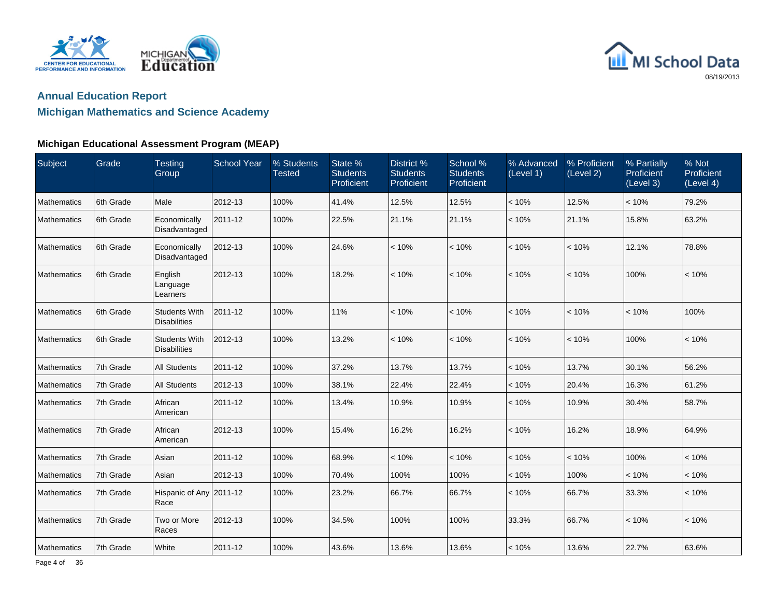



### **Michigan Mathematics and Science Academy**

| Subject     | Grade     | <b>Testing</b><br>Group                     | <b>School Year</b> | % Students<br><b>Tested</b> | State %<br><b>Students</b><br>Proficient | District %<br><b>Students</b><br>Proficient | School %<br><b>Students</b><br>Proficient | % Advanced<br>(Level 1) | % Proficient<br>(Level 2) | % Partially<br>Proficient<br>(Level 3) | % Not<br>Proficient<br>(Level 4) |
|-------------|-----------|---------------------------------------------|--------------------|-----------------------------|------------------------------------------|---------------------------------------------|-------------------------------------------|-------------------------|---------------------------|----------------------------------------|----------------------------------|
| Mathematics | 6th Grade | Male                                        | 2012-13            | 100%                        | 41.4%                                    | 12.5%                                       | 12.5%                                     | < 10%                   | 12.5%                     | < 10%                                  | 79.2%                            |
| Mathematics | 6th Grade | Economically<br>Disadvantaged               | 2011-12            | 100%                        | 22.5%                                    | 21.1%                                       | 21.1%                                     | < 10%                   | 21.1%                     | 15.8%                                  | 63.2%                            |
| Mathematics | 6th Grade | Economically<br>Disadvantaged               | 2012-13            | 100%                        | 24.6%                                    | < 10%                                       | < 10%                                     | < 10%                   | < 10%                     | 12.1%                                  | 78.8%                            |
| Mathematics | 6th Grade | English<br>Language<br>Learners             | 2012-13            | 100%                        | 18.2%                                    | < 10%                                       | < 10%                                     | < 10%                   | < 10%                     | 100%                                   | < 10%                            |
| Mathematics | 6th Grade | <b>Students With</b><br><b>Disabilities</b> | 2011-12            | 100%                        | 11%                                      | < 10%                                       | < 10%                                     | < 10%                   | < 10%                     | < 10%                                  | 100%                             |
| Mathematics | 6th Grade | <b>Students With</b><br><b>Disabilities</b> | 2012-13            | 100%                        | 13.2%                                    | < 10%                                       | < 10%                                     | < 10%                   | < 10%                     | 100%                                   | < 10%                            |
| Mathematics | 7th Grade | <b>All Students</b>                         | 2011-12            | 100%                        | 37.2%                                    | 13.7%                                       | 13.7%                                     | < 10%                   | 13.7%                     | 30.1%                                  | 56.2%                            |
| Mathematics | 7th Grade | <b>All Students</b>                         | 2012-13            | 100%                        | 38.1%                                    | 22.4%                                       | 22.4%                                     | < 10%                   | 20.4%                     | 16.3%                                  | 61.2%                            |
| Mathematics | 7th Grade | African<br>American                         | 2011-12            | 100%                        | 13.4%                                    | 10.9%                                       | 10.9%                                     | < 10%                   | 10.9%                     | 30.4%                                  | 58.7%                            |
| Mathematics | 7th Grade | African<br>American                         | 2012-13            | 100%                        | 15.4%                                    | 16.2%                                       | 16.2%                                     | < 10%                   | 16.2%                     | 18.9%                                  | 64.9%                            |
| Mathematics | 7th Grade | Asian                                       | 2011-12            | 100%                        | 68.9%                                    | < 10%                                       | < 10%                                     | < 10%                   | < 10%                     | 100%                                   | < 10%                            |
| Mathematics | 7th Grade | Asian                                       | 2012-13            | 100%                        | 70.4%                                    | 100%                                        | 100%                                      | < 10%                   | 100%                      | < 10%                                  | < 10%                            |
| Mathematics | 7th Grade | Hispanic of Any 2011-12<br>Race             |                    | 100%                        | 23.2%                                    | 66.7%                                       | 66.7%                                     | < 10%                   | 66.7%                     | 33.3%                                  | < 10%                            |
| Mathematics | 7th Grade | Two or More<br>Races                        | 2012-13            | 100%                        | 34.5%                                    | 100%                                        | 100%                                      | 33.3%                   | 66.7%                     | < 10%                                  | < 10%                            |
| Mathematics | 7th Grade | White                                       | 2011-12            | 100%                        | 43.6%                                    | 13.6%                                       | 13.6%                                     | < 10%                   | 13.6%                     | 22.7%                                  | 63.6%                            |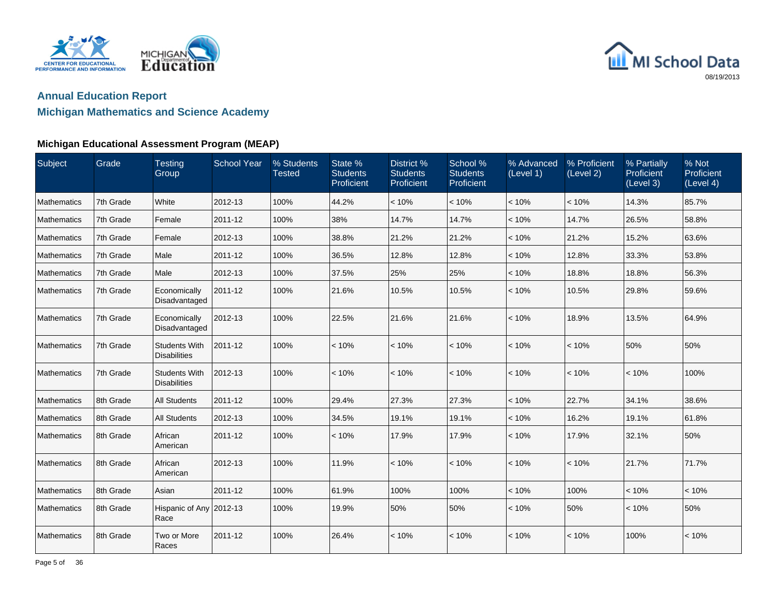



### **Michigan Mathematics and Science Academy**

| Subject     | Grade     | <b>Testing</b><br>Group                     | <b>School Year</b> | % Students<br><b>Tested</b> | State %<br><b>Students</b><br>Proficient | District %<br><b>Students</b><br>Proficient | School %<br><b>Students</b><br>Proficient | % Advanced<br>(Level 1) | % Proficient<br>(Level 2) | % Partially<br>Proficient<br>(Level 3) | % Not<br>Proficient<br>(Level 4) |
|-------------|-----------|---------------------------------------------|--------------------|-----------------------------|------------------------------------------|---------------------------------------------|-------------------------------------------|-------------------------|---------------------------|----------------------------------------|----------------------------------|
| Mathematics | 7th Grade | White                                       | 2012-13            | 100%                        | 44.2%                                    | < 10%                                       | < 10%                                     | < 10%                   | < 10%                     | 14.3%                                  | 85.7%                            |
| Mathematics | 7th Grade | Female                                      | 2011-12            | 100%                        | 38%                                      | 14.7%                                       | 14.7%                                     | < 10%                   | 14.7%                     | 26.5%                                  | 58.8%                            |
| Mathematics | 7th Grade | Female                                      | 2012-13            | 100%                        | 38.8%                                    | 21.2%                                       | 21.2%                                     | < 10%                   | 21.2%                     | 15.2%                                  | 63.6%                            |
| Mathematics | 7th Grade | Male                                        | 2011-12            | 100%                        | 36.5%                                    | 12.8%                                       | 12.8%                                     | < 10%                   | 12.8%                     | 33.3%                                  | 53.8%                            |
| Mathematics | 7th Grade | Male                                        | 2012-13            | 100%                        | 37.5%                                    | 25%                                         | 25%                                       | < 10%                   | 18.8%                     | 18.8%                                  | 56.3%                            |
| Mathematics | 7th Grade | Economically<br>Disadvantaged               | 2011-12            | 100%                        | 21.6%                                    | 10.5%                                       | 10.5%                                     | < 10%                   | 10.5%                     | 29.8%                                  | 59.6%                            |
| Mathematics | 7th Grade | Economically<br>Disadvantaged               | 2012-13            | 100%                        | 22.5%                                    | 21.6%                                       | 21.6%                                     | < 10%                   | 18.9%                     | 13.5%                                  | 64.9%                            |
| Mathematics | 7th Grade | <b>Students With</b><br><b>Disabilities</b> | 2011-12            | 100%                        | < 10%                                    | < 10%                                       | < 10%                                     | < 10%                   | < 10%                     | 50%                                    | 50%                              |
| Mathematics | 7th Grade | <b>Students With</b><br><b>Disabilities</b> | 2012-13            | 100%                        | < 10%                                    | < 10%                                       | < 10%                                     | < 10%                   | < 10%                     | < 10%                                  | 100%                             |
| Mathematics | 8th Grade | <b>All Students</b>                         | 2011-12            | 100%                        | 29.4%                                    | 27.3%                                       | 27.3%                                     | < 10%                   | 22.7%                     | 34.1%                                  | 38.6%                            |
| Mathematics | 8th Grade | <b>All Students</b>                         | 2012-13            | 100%                        | 34.5%                                    | 19.1%                                       | 19.1%                                     | < 10%                   | 16.2%                     | 19.1%                                  | 61.8%                            |
| Mathematics | 8th Grade | African<br>American                         | 2011-12            | 100%                        | < 10%                                    | 17.9%                                       | 17.9%                                     | < 10%                   | 17.9%                     | 32.1%                                  | 50%                              |
| Mathematics | 8th Grade | African<br>American                         | 2012-13            | 100%                        | 11.9%                                    | < 10%                                       | < 10%                                     | < 10%                   | < 10%                     | 21.7%                                  | 71.7%                            |
| Mathematics | 8th Grade | Asian                                       | 2011-12            | 100%                        | 61.9%                                    | 100%                                        | 100%                                      | < 10%                   | 100%                      | < 10%                                  | < 10%                            |
| Mathematics | 8th Grade | Hispanic of Any 2012-13<br>Race             |                    | 100%                        | 19.9%                                    | 50%                                         | 50%                                       | < 10%                   | 50%                       | < 10%                                  | 50%                              |
| Mathematics | 8th Grade | Two or More<br>Races                        | 2011-12            | 100%                        | 26.4%                                    | < 10%                                       | < 10%                                     | < 10%                   | < 10%                     | 100%                                   | < 10%                            |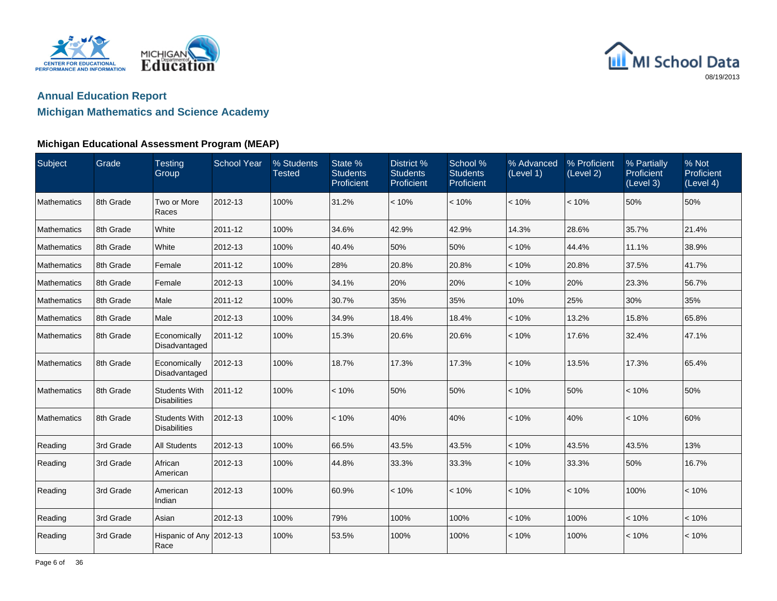



### **Michigan Mathematics and Science Academy**

| Subject     | Grade     | <b>Testing</b><br>Group                     | <b>School Year</b> | % Students<br><b>Tested</b> | State %<br><b>Students</b><br>Proficient | District %<br><b>Students</b><br>Proficient | School %<br><b>Students</b><br>Proficient | % Advanced<br>(Level 1) | % Proficient<br>(Level 2) | % Partially<br>Proficient<br>(Level 3) | % Not<br>Proficient<br>(Level 4) |
|-------------|-----------|---------------------------------------------|--------------------|-----------------------------|------------------------------------------|---------------------------------------------|-------------------------------------------|-------------------------|---------------------------|----------------------------------------|----------------------------------|
| Mathematics | 8th Grade | Two or More<br>Races                        | 2012-13            | 100%                        | 31.2%                                    | < 10%                                       | < 10%                                     | < 10%                   | < 10%                     | 50%                                    | 50%                              |
| Mathematics | 8th Grade | White                                       | 2011-12            | 100%                        | 34.6%                                    | 42.9%                                       | 42.9%                                     | 14.3%                   | 28.6%                     | 35.7%                                  | 21.4%                            |
| Mathematics | 8th Grade | White                                       | 2012-13            | 100%                        | 40.4%                                    | 50%                                         | 50%                                       | < 10%                   | 44.4%                     | 11.1%                                  | 38.9%                            |
| Mathematics | 8th Grade | Female                                      | 2011-12            | 100%                        | 28%                                      | 20.8%                                       | 20.8%                                     | < 10%                   | 20.8%                     | 37.5%                                  | 41.7%                            |
| Mathematics | 8th Grade | Female                                      | 2012-13            | 100%                        | 34.1%                                    | 20%                                         | 20%                                       | < 10%                   | 20%                       | 23.3%                                  | 56.7%                            |
| Mathematics | 8th Grade | Male                                        | 2011-12            | 100%                        | 30.7%                                    | 35%                                         | 35%                                       | 10%                     | 25%                       | 30%                                    | 35%                              |
| Mathematics | 8th Grade | Male                                        | 2012-13            | 100%                        | 34.9%                                    | 18.4%                                       | 18.4%                                     | < 10%                   | 13.2%                     | 15.8%                                  | 65.8%                            |
| Mathematics | 8th Grade | Economically<br>Disadvantaged               | 2011-12            | 100%                        | 15.3%                                    | 20.6%                                       | 20.6%                                     | < 10%                   | 17.6%                     | 32.4%                                  | 47.1%                            |
| Mathematics | 8th Grade | Economically<br>Disadvantaged               | 2012-13            | 100%                        | 18.7%                                    | 17.3%                                       | 17.3%                                     | < 10%                   | 13.5%                     | 17.3%                                  | 65.4%                            |
| Mathematics | 8th Grade | <b>Students With</b><br><b>Disabilities</b> | 2011-12            | 100%                        | < 10%                                    | 50%                                         | 50%                                       | < 10%                   | 50%                       | < 10%                                  | 50%                              |
| Mathematics | 8th Grade | <b>Students With</b><br><b>Disabilities</b> | 2012-13            | 100%                        | < 10%                                    | 40%                                         | 40%                                       | < 10%                   | 40%                       | < 10%                                  | 60%                              |
| Reading     | 3rd Grade | <b>All Students</b>                         | 2012-13            | 100%                        | 66.5%                                    | 43.5%                                       | 43.5%                                     | < 10%                   | 43.5%                     | 43.5%                                  | 13%                              |
| Reading     | 3rd Grade | African<br>American                         | 2012-13            | 100%                        | 44.8%                                    | 33.3%                                       | 33.3%                                     | < 10%                   | 33.3%                     | 50%                                    | 16.7%                            |
| Reading     | 3rd Grade | American<br>Indian                          | 2012-13            | 100%                        | 60.9%                                    | < 10%                                       | < 10%                                     | < 10%                   | < 10%                     | 100%                                   | < 10%                            |
| Reading     | 3rd Grade | Asian                                       | 2012-13            | 100%                        | 79%                                      | 100%                                        | 100%                                      | < 10%                   | 100%                      | < 10%                                  | < 10%                            |
| Reading     | 3rd Grade | Hispanic of Any 2012-13<br>Race             |                    | 100%                        | 53.5%                                    | 100%                                        | 100%                                      | < 10%                   | 100%                      | < 10%                                  | < 10%                            |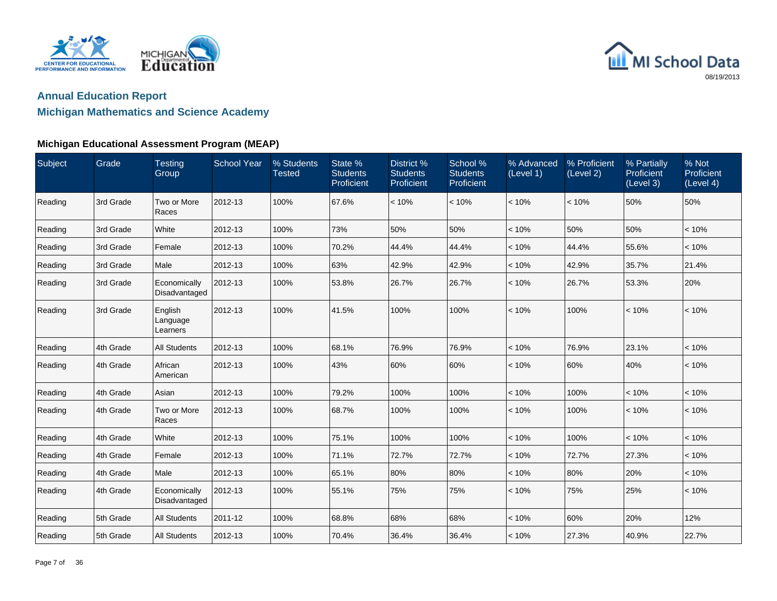



| Subject | Grade     | <b>Testing</b><br>Group         | <b>School Year</b> | % Students<br><b>Tested</b> | State %<br><b>Students</b><br>Proficient | District %<br><b>Students</b><br>Proficient | School %<br><b>Students</b><br>Proficient | % Advanced<br>(Level 1) | % Proficient<br>(Level 2) | % Partially<br>Proficient<br>(Level 3) | % Not<br>Proficient<br>(Level 4) |
|---------|-----------|---------------------------------|--------------------|-----------------------------|------------------------------------------|---------------------------------------------|-------------------------------------------|-------------------------|---------------------------|----------------------------------------|----------------------------------|
| Reading | 3rd Grade | Two or More<br>Races            | 2012-13            | 100%                        | 67.6%                                    | < 10%                                       | < 10%                                     | < 10%                   | < 10%                     | 50%                                    | 50%                              |
| Reading | 3rd Grade | White                           | 2012-13            | 100%                        | 73%                                      | 50%                                         | 50%                                       | < 10%                   | 50%                       | 50%                                    | < 10%                            |
| Reading | 3rd Grade | Female                          | 2012-13            | 100%                        | 70.2%                                    | 44.4%                                       | 44.4%                                     | < 10%                   | 44.4%                     | 55.6%                                  | < 10%                            |
| Reading | 3rd Grade | Male                            | 2012-13            | 100%                        | 63%                                      | 42.9%                                       | 42.9%                                     | < 10%                   | 42.9%                     | 35.7%                                  | 21.4%                            |
| Reading | 3rd Grade | Economically<br>Disadvantaged   | 2012-13            | 100%                        | 53.8%                                    | 26.7%                                       | 26.7%                                     | < 10%                   | 26.7%                     | 53.3%                                  | 20%                              |
| Reading | 3rd Grade | English<br>Language<br>Learners | 2012-13            | 100%                        | 41.5%                                    | 100%                                        | 100%                                      | < 10%                   | 100%                      | < 10%                                  | < 10%                            |
| Reading | 4th Grade | <b>All Students</b>             | 2012-13            | 100%                        | 68.1%                                    | 76.9%                                       | 76.9%                                     | < 10%                   | 76.9%                     | 23.1%                                  | < 10%                            |
| Reading | 4th Grade | African<br>American             | 2012-13            | 100%                        | 43%                                      | 60%                                         | 60%                                       | < 10%                   | 60%                       | 40%                                    | < 10%                            |
| Reading | 4th Grade | Asian                           | 2012-13            | 100%                        | 79.2%                                    | 100%                                        | 100%                                      | < 10%                   | 100%                      | < 10%                                  | < 10%                            |
| Reading | 4th Grade | Two or More<br>Races            | 2012-13            | 100%                        | 68.7%                                    | 100%                                        | 100%                                      | < 10%                   | 100%                      | < 10%                                  | < 10%                            |
| Reading | 4th Grade | White                           | 2012-13            | 100%                        | 75.1%                                    | 100%                                        | 100%                                      | < 10%                   | 100%                      | < 10%                                  | < 10%                            |
| Reading | 4th Grade | Female                          | 2012-13            | 100%                        | 71.1%                                    | 72.7%                                       | 72.7%                                     | < 10%                   | 72.7%                     | 27.3%                                  | < 10%                            |
| Reading | 4th Grade | Male                            | 2012-13            | 100%                        | 65.1%                                    | 80%                                         | 80%                                       | < 10%                   | 80%                       | 20%                                    | < 10%                            |
| Reading | 4th Grade | Economically<br>Disadvantaged   | 2012-13            | 100%                        | 55.1%                                    | 75%                                         | 75%                                       | < 10%                   | 75%                       | 25%                                    | < 10%                            |
| Reading | 5th Grade | <b>All Students</b>             | 2011-12            | 100%                        | 68.8%                                    | 68%                                         | 68%                                       | < 10%                   | 60%                       | 20%                                    | 12%                              |
| Reading | 5th Grade | <b>All Students</b>             | 2012-13            | 100%                        | 70.4%                                    | 36.4%                                       | 36.4%                                     | < 10%                   | 27.3%                     | 40.9%                                  | 22.7%                            |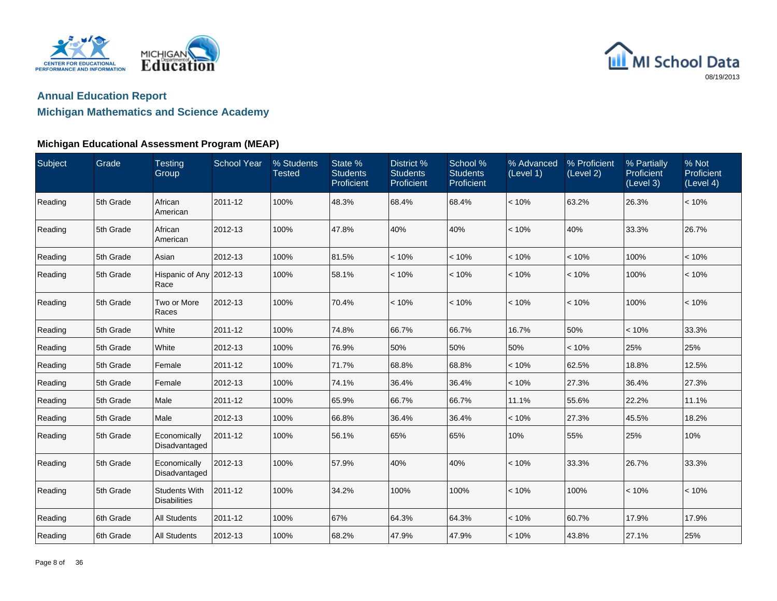



| Subject | Grade     | <b>Testing</b><br>Group                     | <b>School Year</b> | % Students<br><b>Tested</b> | State %<br><b>Students</b><br>Proficient | District %<br><b>Students</b><br>Proficient | School %<br><b>Students</b><br>Proficient | % Advanced<br>(Level 1) | % Proficient<br>(Level 2) | % Partially<br>Proficient<br>(Level 3) | % Not<br>Proficient<br>(Level 4) |
|---------|-----------|---------------------------------------------|--------------------|-----------------------------|------------------------------------------|---------------------------------------------|-------------------------------------------|-------------------------|---------------------------|----------------------------------------|----------------------------------|
| Reading | 5th Grade | African<br>American                         | 2011-12            | 100%                        | 48.3%                                    | 68.4%                                       | 68.4%                                     | < 10%                   | 63.2%                     | 26.3%                                  | < 10%                            |
| Reading | 5th Grade | African<br>American                         | 2012-13            | 100%                        | 47.8%                                    | 40%                                         | 40%                                       | < 10%                   | 40%                       | 33.3%                                  | 26.7%                            |
| Reading | 5th Grade | Asian                                       | 2012-13            | 100%                        | 81.5%                                    | < 10%                                       | < 10%                                     | < 10%                   | < 10%                     | 100%                                   | < 10%                            |
| Reading | 5th Grade | Hispanic of Any 2012-13<br>Race             |                    | 100%                        | 58.1%                                    | < 10%                                       | < 10%                                     | < 10%                   | < 10%                     | 100%                                   | < 10%                            |
| Reading | 5th Grade | Two or More<br>Races                        | 2012-13            | 100%                        | 70.4%                                    | < 10%                                       | < 10%                                     | < 10%                   | < 10%                     | 100%                                   | < 10%                            |
| Reading | 5th Grade | White                                       | 2011-12            | 100%                        | 74.8%                                    | 66.7%                                       | 66.7%                                     | 16.7%                   | 50%                       | < 10%                                  | 33.3%                            |
| Reading | 5th Grade | White                                       | 2012-13            | 100%                        | 76.9%                                    | 50%                                         | 50%                                       | 50%                     | < 10%                     | 25%                                    | 25%                              |
| Reading | 5th Grade | Female                                      | 2011-12            | 100%                        | 71.7%                                    | 68.8%                                       | 68.8%                                     | < 10%                   | 62.5%                     | 18.8%                                  | 12.5%                            |
| Reading | 5th Grade | Female                                      | 2012-13            | 100%                        | 74.1%                                    | 36.4%                                       | 36.4%                                     | < 10%                   | 27.3%                     | 36.4%                                  | 27.3%                            |
| Reading | 5th Grade | Male                                        | 2011-12            | 100%                        | 65.9%                                    | 66.7%                                       | 66.7%                                     | 11.1%                   | 55.6%                     | 22.2%                                  | 11.1%                            |
| Reading | 5th Grade | Male                                        | 2012-13            | 100%                        | 66.8%                                    | 36.4%                                       | 36.4%                                     | < 10%                   | 27.3%                     | 45.5%                                  | 18.2%                            |
| Reading | 5th Grade | Economically<br>Disadvantaged               | 2011-12            | 100%                        | 56.1%                                    | 65%                                         | 65%                                       | 10%                     | 55%                       | 25%                                    | 10%                              |
| Reading | 5th Grade | Economically<br>Disadvantaged               | 2012-13            | 100%                        | 57.9%                                    | 40%                                         | 40%                                       | < 10%                   | 33.3%                     | 26.7%                                  | 33.3%                            |
| Reading | 5th Grade | <b>Students With</b><br><b>Disabilities</b> | 2011-12            | 100%                        | 34.2%                                    | 100%                                        | 100%                                      | < 10%                   | 100%                      | < 10%                                  | < 10%                            |
| Reading | 6th Grade | <b>All Students</b>                         | 2011-12            | 100%                        | 67%                                      | 64.3%                                       | 64.3%                                     | < 10%                   | 60.7%                     | 17.9%                                  | 17.9%                            |
| Reading | 6th Grade | <b>All Students</b>                         | 2012-13            | 100%                        | 68.2%                                    | 47.9%                                       | 47.9%                                     | < 10%                   | 43.8%                     | 27.1%                                  | 25%                              |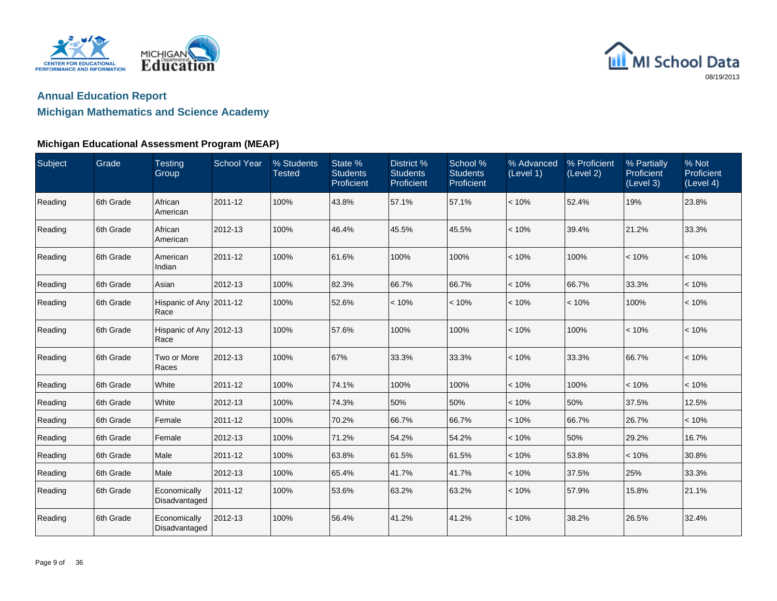



| Subject | Grade     | <b>Testing</b><br>Group         | <b>School Year</b> | % Students<br><b>Tested</b> | State %<br><b>Students</b><br>Proficient | District %<br><b>Students</b><br>Proficient | School %<br><b>Students</b><br>Proficient | % Advanced<br>(Level 1) | % Proficient<br>(Level 2) | % Partially<br>Proficient<br>(Level 3) | % Not<br>Proficient<br>(Level 4) |
|---------|-----------|---------------------------------|--------------------|-----------------------------|------------------------------------------|---------------------------------------------|-------------------------------------------|-------------------------|---------------------------|----------------------------------------|----------------------------------|
| Reading | 6th Grade | African<br>American             | 2011-12            | 100%                        | 43.8%                                    | 57.1%                                       | 57.1%                                     | < 10%                   | 52.4%                     | 19%                                    | 23.8%                            |
| Reading | 6th Grade | African<br>American             | 2012-13            | 100%                        | 46.4%                                    | 45.5%                                       | 45.5%                                     | < 10%                   | 39.4%                     | 21.2%                                  | 33.3%                            |
| Reading | 6th Grade | American<br>Indian              | 2011-12            | 100%                        | 61.6%                                    | 100%                                        | 100%                                      | < 10%                   | 100%                      | < 10%                                  | < 10%                            |
| Reading | 6th Grade | Asian                           | 2012-13            | 100%                        | 82.3%                                    | 66.7%                                       | 66.7%                                     | < 10%                   | 66.7%                     | 33.3%                                  | < 10%                            |
| Reading | 6th Grade | Hispanic of Any 2011-12<br>Race |                    | 100%                        | 52.6%                                    | < 10%                                       | < 10%                                     | < 10%                   | < 10%                     | 100%                                   | < 10%                            |
| Reading | 6th Grade | Hispanic of Any 2012-13<br>Race |                    | 100%                        | 57.6%                                    | 100%                                        | 100%                                      | < 10%                   | 100%                      | < 10%                                  | < 10%                            |
| Reading | 6th Grade | Two or More<br>Races            | 2012-13            | 100%                        | 67%                                      | 33.3%                                       | 33.3%                                     | < 10%                   | 33.3%                     | 66.7%                                  | < 10%                            |
| Reading | 6th Grade | White                           | 2011-12            | 100%                        | 74.1%                                    | 100%                                        | 100%                                      | < 10%                   | 100%                      | < 10%                                  | < 10%                            |
| Reading | 6th Grade | White                           | 2012-13            | 100%                        | 74.3%                                    | 50%                                         | 50%                                       | < 10%                   | 50%                       | 37.5%                                  | 12.5%                            |
| Reading | 6th Grade | Female                          | 2011-12            | 100%                        | 70.2%                                    | 66.7%                                       | 66.7%                                     | < 10%                   | 66.7%                     | 26.7%                                  | < 10%                            |
| Reading | 6th Grade | Female                          | 2012-13            | 100%                        | 71.2%                                    | 54.2%                                       | 54.2%                                     | < 10%                   | 50%                       | 29.2%                                  | 16.7%                            |
| Reading | 6th Grade | Male                            | 2011-12            | 100%                        | 63.8%                                    | 61.5%                                       | 61.5%                                     | < 10%                   | 53.8%                     | < 10%                                  | 30.8%                            |
| Reading | 6th Grade | Male                            | 2012-13            | 100%                        | 65.4%                                    | 41.7%                                       | 41.7%                                     | < 10%                   | 37.5%                     | 25%                                    | 33.3%                            |
| Reading | 6th Grade | Economically<br>Disadvantaged   | 2011-12            | 100%                        | 53.6%                                    | 63.2%                                       | 63.2%                                     | < 10%                   | 57.9%                     | 15.8%                                  | 21.1%                            |
| Reading | 6th Grade | Economically<br>Disadvantaged   | 2012-13            | 100%                        | 56.4%                                    | 41.2%                                       | 41.2%                                     | < 10%                   | 38.2%                     | 26.5%                                  | 32.4%                            |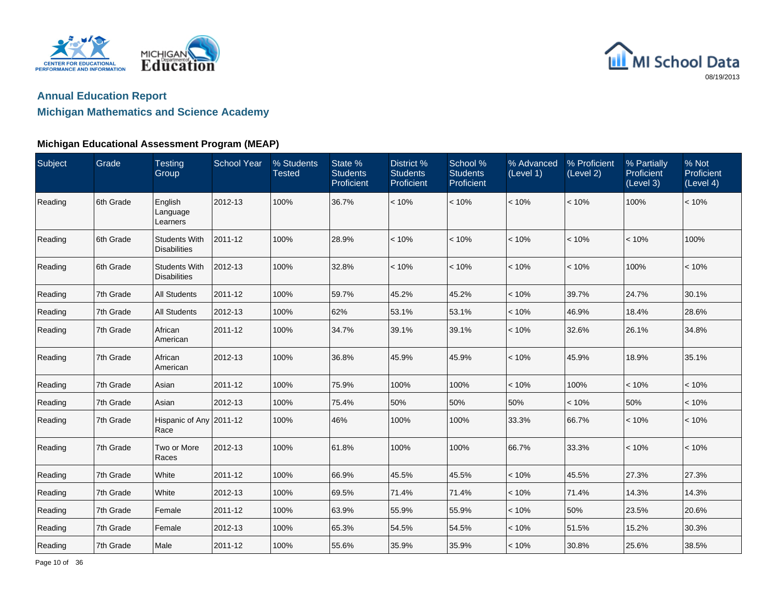



| Subject | Grade     | <b>Testing</b><br>Group                     | <b>School Year</b> | % Students<br><b>Tested</b> | State %<br><b>Students</b><br><b>Proficient</b> | District %<br><b>Students</b><br>Proficient | School %<br><b>Students</b><br>Proficient | % Advanced<br>(Level 1) | % Proficient<br>(Level 2) | % Partially<br>Proficient<br>(Level 3) | % Not<br>Proficient<br>(Level 4) |
|---------|-----------|---------------------------------------------|--------------------|-----------------------------|-------------------------------------------------|---------------------------------------------|-------------------------------------------|-------------------------|---------------------------|----------------------------------------|----------------------------------|
| Reading | 6th Grade | English<br>Language<br>Learners             | 2012-13            | 100%                        | 36.7%                                           | < 10%                                       | < 10%                                     | < 10%                   | < 10%                     | 100%                                   | < 10%                            |
| Reading | 6th Grade | <b>Students With</b><br><b>Disabilities</b> | 2011-12            | 100%                        | 28.9%                                           | < 10%                                       | < 10%                                     | < 10%                   | < 10%                     | < 10%                                  | 100%                             |
| Reading | 6th Grade | <b>Students With</b><br><b>Disabilities</b> | 2012-13            | 100%                        | 32.8%                                           | < 10%                                       | < 10%                                     | < 10%                   | < 10%                     | 100%                                   | < 10%                            |
| Reading | 7th Grade | <b>All Students</b>                         | 2011-12            | 100%                        | 59.7%                                           | 45.2%                                       | 45.2%                                     | < 10%                   | 39.7%                     | 24.7%                                  | 30.1%                            |
| Reading | 7th Grade | <b>All Students</b>                         | 2012-13            | 100%                        | 62%                                             | 53.1%                                       | 53.1%                                     | < 10%                   | 46.9%                     | 18.4%                                  | 28.6%                            |
| Reading | 7th Grade | African<br>American                         | 2011-12            | 100%                        | 34.7%                                           | 39.1%                                       | 39.1%                                     | < 10%                   | 32.6%                     | 26.1%                                  | 34.8%                            |
| Reading | 7th Grade | African<br>American                         | 2012-13            | 100%                        | 36.8%                                           | 45.9%                                       | 45.9%                                     | < 10%                   | 45.9%                     | 18.9%                                  | 35.1%                            |
| Reading | 7th Grade | Asian                                       | 2011-12            | 100%                        | 75.9%                                           | 100%                                        | 100%                                      | < 10%                   | 100%                      | < 10%                                  | < 10%                            |
| Reading | 7th Grade | Asian                                       | 2012-13            | 100%                        | 75.4%                                           | 50%                                         | 50%                                       | 50%                     | < 10%                     | 50%                                    | < 10%                            |
| Reading | 7th Grade | Hispanic of Any 2011-12<br>Race             |                    | 100%                        | 46%                                             | 100%                                        | 100%                                      | 33.3%                   | 66.7%                     | < 10%                                  | < 10%                            |
| Reading | 7th Grade | Two or More<br>Races                        | 2012-13            | 100%                        | 61.8%                                           | 100%                                        | 100%                                      | 66.7%                   | 33.3%                     | < 10%                                  | < 10%                            |
| Reading | 7th Grade | White                                       | 2011-12            | 100%                        | 66.9%                                           | 45.5%                                       | 45.5%                                     | < 10%                   | 45.5%                     | 27.3%                                  | 27.3%                            |
| Reading | 7th Grade | White                                       | 2012-13            | 100%                        | 69.5%                                           | 71.4%                                       | 71.4%                                     | < 10%                   | 71.4%                     | 14.3%                                  | 14.3%                            |
| Reading | 7th Grade | Female                                      | 2011-12            | 100%                        | 63.9%                                           | 55.9%                                       | 55.9%                                     | < 10%                   | 50%                       | 23.5%                                  | 20.6%                            |
| Reading | 7th Grade | Female                                      | 2012-13            | 100%                        | 65.3%                                           | 54.5%                                       | 54.5%                                     | < 10%                   | 51.5%                     | 15.2%                                  | 30.3%                            |
| Reading | 7th Grade | Male                                        | 2011-12            | 100%                        | 55.6%                                           | 35.9%                                       | 35.9%                                     | < 10%                   | 30.8%                     | 25.6%                                  | 38.5%                            |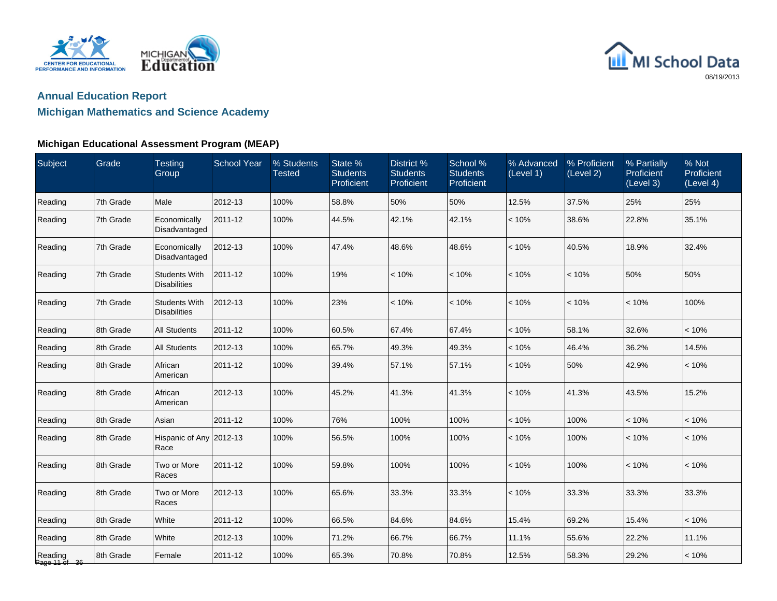



## **Michigan Mathematics and Science Academy**

| Subject                  | Grade     | <b>Testing</b><br>Group                     | <b>School Year</b> | % Students<br><b>Tested</b> | State %<br><b>Students</b><br>Proficient | <b>District %</b><br><b>Students</b><br>Proficient | School %<br><b>Students</b><br>Proficient | % Advanced<br>(Level 1) | % Proficient<br>(Level 2) | % Partially<br>Proficient<br>(Level 3) | % Not<br>Proficient<br>(Level 4) |
|--------------------------|-----------|---------------------------------------------|--------------------|-----------------------------|------------------------------------------|----------------------------------------------------|-------------------------------------------|-------------------------|---------------------------|----------------------------------------|----------------------------------|
| Reading                  | 7th Grade | Male                                        | 2012-13            | 100%                        | 58.8%                                    | 50%                                                | 50%                                       | 12.5%                   | 37.5%                     | 25%                                    | 25%                              |
| Reading                  | 7th Grade | Economically<br>Disadvantaged               | 2011-12            | 100%                        | 44.5%                                    | 42.1%                                              | 42.1%                                     | < 10%                   | 38.6%                     | 22.8%                                  | 35.1%                            |
| Reading                  | 7th Grade | Economically<br>Disadvantaged               | 2012-13            | 100%                        | 47.4%                                    | 48.6%                                              | 48.6%                                     | < 10%                   | 40.5%                     | 18.9%                                  | 32.4%                            |
| Reading                  | 7th Grade | <b>Students With</b><br><b>Disabilities</b> | 2011-12            | 100%                        | 19%                                      | < 10%                                              | < 10%                                     | < 10%                   | < 10%                     | 50%                                    | 50%                              |
| Reading                  | 7th Grade | <b>Students With</b><br><b>Disabilities</b> | 2012-13            | 100%                        | 23%                                      | < 10%                                              | < 10%                                     | < 10%                   | < 10%                     | < 10%                                  | 100%                             |
| Reading                  | 8th Grade | <b>All Students</b>                         | 2011-12            | 100%                        | 60.5%                                    | 67.4%                                              | 67.4%                                     | < 10%                   | 58.1%                     | 32.6%                                  | < 10%                            |
| Reading                  | 8th Grade | <b>All Students</b>                         | 2012-13            | 100%                        | 65.7%                                    | 49.3%                                              | 49.3%                                     | < 10%                   | 46.4%                     | 36.2%                                  | 14.5%                            |
| Reading                  | 8th Grade | African<br>American                         | 2011-12            | 100%                        | 39.4%                                    | 57.1%                                              | 57.1%                                     | < 10%                   | 50%                       | 42.9%                                  | < 10%                            |
| Reading                  | 8th Grade | African<br>American                         | 2012-13            | 100%                        | 45.2%                                    | 41.3%                                              | 41.3%                                     | < 10%                   | 41.3%                     | 43.5%                                  | 15.2%                            |
| Reading                  | 8th Grade | Asian                                       | 2011-12            | 100%                        | 76%                                      | 100%                                               | 100%                                      | < 10%                   | 100%                      | < 10%                                  | < 10%                            |
| Reading                  | 8th Grade | Hispanic of Any 2012-13<br>Race             |                    | 100%                        | 56.5%                                    | 100%                                               | 100%                                      | < 10%                   | 100%                      | < 10%                                  | < 10%                            |
| Reading                  | 8th Grade | Two or More<br>Races                        | 2011-12            | 100%                        | 59.8%                                    | 100%                                               | 100%                                      | < 10%                   | 100%                      | < 10%                                  | < 10%                            |
| Reading                  | 8th Grade | Two or More<br>Races                        | 2012-13            | 100%                        | 65.6%                                    | 33.3%                                              | 33.3%                                     | < 10%                   | 33.3%                     | 33.3%                                  | 33.3%                            |
| Reading                  | 8th Grade | White                                       | 2011-12            | 100%                        | 66.5%                                    | 84.6%                                              | 84.6%                                     | 15.4%                   | 69.2%                     | 15.4%                                  | < 10%                            |
| Reading                  | 8th Grade | White                                       | 2012-13            | 100%                        | 71.2%                                    | 66.7%                                              | 66.7%                                     | 11.1%                   | 55.6%                     | 22.2%                                  | 11.1%                            |
| Reading<br>Page 11 of 36 | 8th Grade | Female                                      | 2011-12            | 100%                        | 65.3%                                    | 70.8%                                              | 70.8%                                     | 12.5%                   | 58.3%                     | 29.2%                                  | < 10%                            |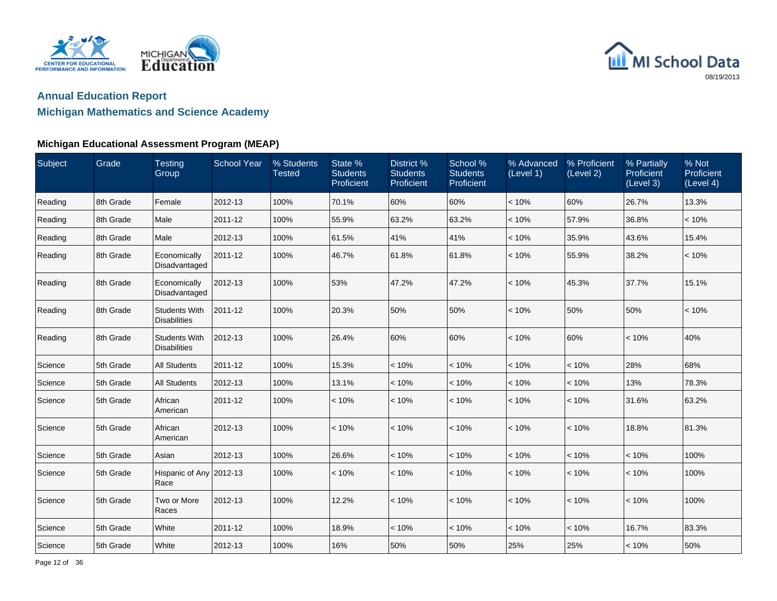



### **Michigan Mathematics and Science Academy**

| Subject | Grade     | <b>Testing</b><br>Group                     | <b>School Year</b> | % Students<br><b>Tested</b> | State %<br><b>Students</b><br>Proficient | District %<br><b>Students</b><br>Proficient | School %<br><b>Students</b><br>Proficient | % Advanced<br>(Level 1) | % Proficient<br>(Level 2) | % Partially<br>Proficient<br>(Level 3) | % Not<br>Proficient<br>(Level 4) |
|---------|-----------|---------------------------------------------|--------------------|-----------------------------|------------------------------------------|---------------------------------------------|-------------------------------------------|-------------------------|---------------------------|----------------------------------------|----------------------------------|
| Reading | 8th Grade | Female                                      | 2012-13            | 100%                        | 70.1%                                    | 60%                                         | 60%                                       | < 10%                   | 60%                       | 26.7%                                  | 13.3%                            |
| Reading | 8th Grade | Male                                        | 2011-12            | 100%                        | 55.9%                                    | 63.2%                                       | 63.2%                                     | < 10%                   | 57.9%                     | 36.8%                                  | < 10%                            |
| Reading | 8th Grade | Male                                        | 2012-13            | 100%                        | 61.5%                                    | 41%                                         | 41%                                       | < 10%                   | 35.9%                     | 43.6%                                  | 15.4%                            |
| Reading | 8th Grade | Economically<br>Disadvantaged               | 2011-12            | 100%                        | 46.7%                                    | 61.8%                                       | 61.8%                                     | < 10%                   | 55.9%                     | 38.2%                                  | < 10%                            |
| Reading | 8th Grade | Economically<br>Disadvantaged               | 2012-13            | 100%                        | 53%                                      | 47.2%                                       | 47.2%                                     | < 10%                   | 45.3%                     | 37.7%                                  | 15.1%                            |
| Reading | 8th Grade | <b>Students With</b><br><b>Disabilities</b> | 2011-12            | 100%                        | 20.3%                                    | 50%                                         | 50%                                       | < 10%                   | 50%                       | 50%                                    | < 10%                            |
| Reading | 8th Grade | <b>Students With</b><br><b>Disabilities</b> | 2012-13            | 100%                        | 26.4%                                    | 60%                                         | 60%                                       | < 10%                   | 60%                       | < 10%                                  | 40%                              |
| Science | 5th Grade | <b>All Students</b>                         | 2011-12            | 100%                        | 15.3%                                    | < 10%                                       | < 10%                                     | < 10%                   | < 10%                     | 28%                                    | 68%                              |
| Science | 5th Grade | <b>All Students</b>                         | 2012-13            | 100%                        | 13.1%                                    | < 10%                                       | < 10%                                     | < 10%                   | < 10%                     | 13%                                    | 78.3%                            |
| Science | 5th Grade | African<br>American                         | 2011-12            | 100%                        | < 10%                                    | < 10%                                       | < 10%                                     | < 10%                   | < 10%                     | 31.6%                                  | 63.2%                            |
| Science | 5th Grade | African<br>American                         | 2012-13            | 100%                        | < 10%                                    | < 10%                                       | < 10%                                     | < 10%                   | < 10%                     | 18.8%                                  | 81.3%                            |
| Science | 5th Grade | Asian                                       | 2012-13            | 100%                        | 26.6%                                    | < 10%                                       | < 10%                                     | < 10%                   | < 10%                     | < 10%                                  | 100%                             |
| Science | 5th Grade | Hispanic of Any 2012-13<br>Race             |                    | 100%                        | < 10%                                    | < 10%                                       | < 10%                                     | < 10%                   | < 10%                     | < 10%                                  | 100%                             |
| Science | 5th Grade | Two or More<br>Races                        | 2012-13            | 100%                        | 12.2%                                    | < 10%                                       | < 10%                                     | < 10%                   | < 10%                     | < 10%                                  | 100%                             |
| Science | 5th Grade | White                                       | 2011-12            | 100%                        | 18.9%                                    | < 10%                                       | < 10%                                     | < 10%                   | < 10%                     | 16.7%                                  | 83.3%                            |
| Science | 5th Grade | White                                       | 2012-13            | 100%                        | 16%                                      | 50%                                         | 50%                                       | 25%                     | 25%                       | < 10%                                  | 50%                              |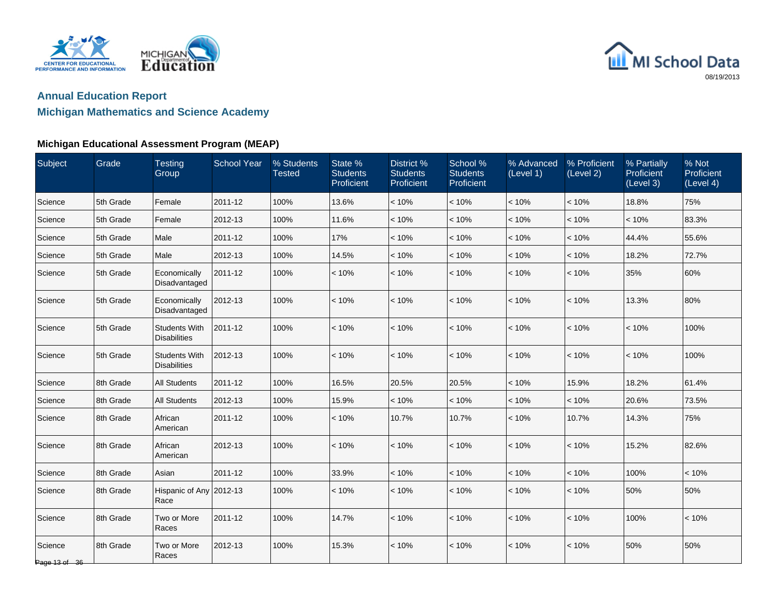



## **Michigan Mathematics and Science Academy**

| Subject                  | Grade     | <b>Testing</b><br>Group                     | <b>School Year</b> | % Students<br><b>Tested</b> | State %<br><b>Students</b><br>Proficient | District %<br><b>Students</b><br>Proficient | School %<br><b>Students</b><br>Proficient | % Advanced<br>(Level 1) | % Proficient<br>(Level 2) | % Partially<br>Proficient<br>(Level 3) | % Not<br>Proficient<br>(Level 4) |
|--------------------------|-----------|---------------------------------------------|--------------------|-----------------------------|------------------------------------------|---------------------------------------------|-------------------------------------------|-------------------------|---------------------------|----------------------------------------|----------------------------------|
| Science                  | 5th Grade | Female                                      | 2011-12            | 100%                        | 13.6%                                    | < 10%                                       | < 10%                                     | < 10%                   | < 10%                     | 18.8%                                  | 75%                              |
| Science                  | 5th Grade | Female                                      | 2012-13            | 100%                        | 11.6%                                    | < 10%                                       | < 10%                                     | < 10%                   | < 10%                     | < 10%                                  | 83.3%                            |
| Science                  | 5th Grade | Male                                        | 2011-12            | 100%                        | 17%                                      | < 10%                                       | < 10%                                     | < 10%                   | < 10%                     | 44.4%                                  | 55.6%                            |
| Science                  | 5th Grade | Male                                        | 2012-13            | 100%                        | 14.5%                                    | < 10%                                       | < 10%                                     | < 10%                   | < 10%                     | 18.2%                                  | 72.7%                            |
| Science                  | 5th Grade | Economically<br>Disadvantaged               | 2011-12            | 100%                        | < 10%                                    | < 10%                                       | < 10%                                     | < 10%                   | < 10%                     | 35%                                    | 60%                              |
| Science                  | 5th Grade | Economically<br>Disadvantaged               | 2012-13            | 100%                        | < 10%                                    | < 10%                                       | < 10%                                     | < 10%                   | < 10%                     | 13.3%                                  | 80%                              |
| Science                  | 5th Grade | <b>Students With</b><br><b>Disabilities</b> | 2011-12            | 100%                        | < 10%                                    | < 10%                                       | < 10%                                     | < 10%                   | < 10%                     | < 10%                                  | 100%                             |
| Science                  | 5th Grade | <b>Students With</b><br><b>Disabilities</b> | 2012-13            | 100%                        | < 10%                                    | < 10%                                       | < 10%                                     | < 10%                   | < 10%                     | < 10%                                  | 100%                             |
| Science                  | 8th Grade | <b>All Students</b>                         | 2011-12            | 100%                        | 16.5%                                    | 20.5%                                       | 20.5%                                     | < 10%                   | 15.9%                     | 18.2%                                  | 61.4%                            |
| Science                  | 8th Grade | <b>All Students</b>                         | 2012-13            | 100%                        | 15.9%                                    | < 10%                                       | < 10%                                     | < 10%                   | < 10%                     | 20.6%                                  | 73.5%                            |
| Science                  | 8th Grade | African<br>American                         | 2011-12            | 100%                        | < 10%                                    | 10.7%                                       | 10.7%                                     | < 10%                   | 10.7%                     | 14.3%                                  | 75%                              |
| Science                  | 8th Grade | African<br>American                         | 2012-13            | 100%                        | < 10%                                    | < 10%                                       | < 10%                                     | < 10%                   | < 10%                     | 15.2%                                  | 82.6%                            |
| Science                  | 8th Grade | Asian                                       | 2011-12            | 100%                        | 33.9%                                    | < 10%                                       | < 10%                                     | < 10%                   | < 10%                     | 100%                                   | < 10%                            |
| Science                  | 8th Grade | Hispanic of Any 2012-13<br>Race             |                    | 100%                        | $< 10\%$                                 | < 10%                                       | < 10%                                     | < 10%                   | < 10%                     | 50%                                    | 50%                              |
| Science                  | 8th Grade | Two or More<br>Races                        | 2011-12            | 100%                        | 14.7%                                    | < 10%                                       | < 10%                                     | < 10%                   | < 10%                     | 100%                                   | < 10%                            |
| Science<br>Page 13 of 36 | 8th Grade | Two or More<br>Races                        | 2012-13            | 100%                        | 15.3%                                    | < 10%                                       | < 10%                                     | < 10%                   | < 10%                     | 50%                                    | 50%                              |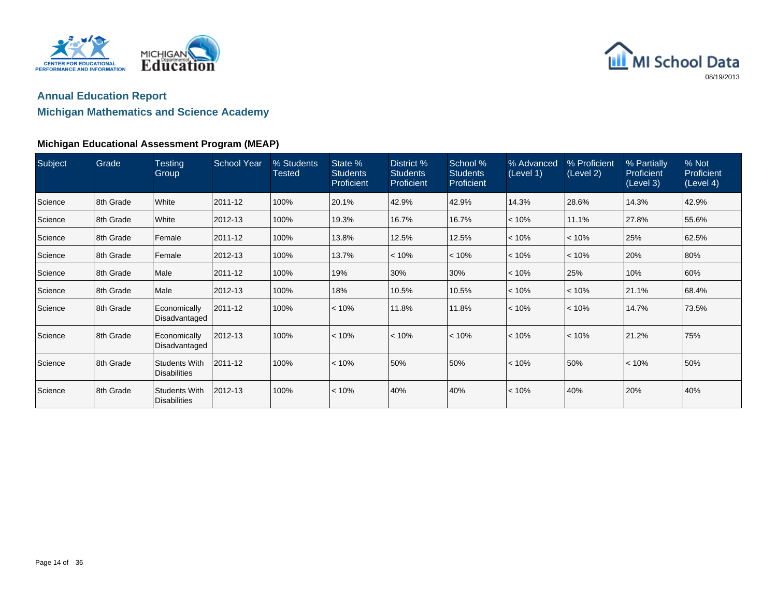



### **Michigan Mathematics and Science Academy**

| Subject | <b>Grade</b> | <b>Testing</b><br>Group                     | <b>School Year</b> | % Students<br>Tested | State %<br><b>Students</b><br>Proficient | District %<br><b>Students</b><br>Proficient | School %<br><b>Students</b><br><b>Proficient</b> | % Advanced<br>(Level 1) | % Proficient<br>(Level 2) | % Partially<br>Proficient<br>(Level 3) | % Not<br>Proficient<br>(Level 4) |
|---------|--------------|---------------------------------------------|--------------------|----------------------|------------------------------------------|---------------------------------------------|--------------------------------------------------|-------------------------|---------------------------|----------------------------------------|----------------------------------|
| Science | 8th Grade    | White                                       | 2011-12            | 100%                 | 20.1%                                    | 42.9%                                       | 42.9%                                            | 14.3%                   | 28.6%                     | 14.3%                                  | 42.9%                            |
| Science | 8th Grade    | White                                       | 2012-13            | 100%                 | 19.3%                                    | 16.7%                                       | 16.7%                                            | < 10%                   | 11.1%                     | 27.8%                                  | 55.6%                            |
| Science | 8th Grade    | Female                                      | 2011-12            | 100%                 | 13.8%                                    | 12.5%                                       | 12.5%                                            | < 10%                   | < 10%                     | 25%                                    | 62.5%                            |
| Science | 8th Grade    | Female                                      | 2012-13            | 100%                 | 13.7%                                    | < 10%                                       | $< 10\%$                                         | $< 10\%$                | < 10%                     | 20%                                    | 80%                              |
| Science | 8th Grade    | Male                                        | 2011-12            | 100%                 | 19%                                      | 30%                                         | 30%                                              | < 10%                   | 25%                       | 10%                                    | 60%                              |
| Science | 8th Grade    | Male                                        | 2012-13            | 100%                 | 18%                                      | 10.5%                                       | 10.5%                                            | < 10%                   | $ $ < 10%                 | 21.1%                                  | 68.4%                            |
| Science | 8th Grade    | Economically<br>Disadvantaged               | 2011-12            | 100%                 | < 10%                                    | 11.8%                                       | 11.8%                                            | < 10%                   | < 10%                     | 14.7%                                  | 73.5%                            |
| Science | 8th Grade    | Economically<br>Disadvantaged               | 2012-13            | 100%                 | < 10%                                    | < 10%                                       | < 10%                                            | < 10%                   | < 10%                     | 21.2%                                  | 75%                              |
| Science | 8th Grade    | <b>Students With</b><br><b>Disabilities</b> | 2011-12            | 100%                 | < 10%                                    | 50%                                         | 50%                                              | < 10%                   | 50%                       | < 10%                                  | 50%                              |
| Science | 8th Grade    | <b>Students With</b><br><b>Disabilities</b> | 2012-13            | 100%                 | < 10%                                    | 40%                                         | 40%                                              | < 10%                   | 40%                       | 20%                                    | 40%                              |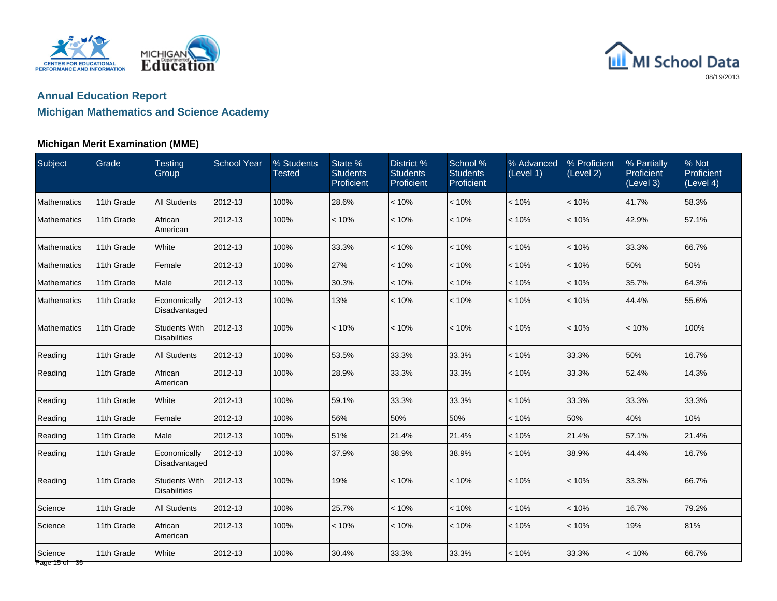



#### **Michigan Merit Examination (MME)**

| Subject                  | Grade      | <b>Testing</b><br>Group                     | <b>School Year</b> | % Students<br><b>Tested</b> | State %<br><b>Students</b><br><b>Proficient</b> | District %<br><b>Students</b><br><b>Proficient</b> | School %<br><b>Students</b><br>Proficient | % Advanced<br>(Level 1) | % Proficient<br>(Level 2) | % Partially<br>Proficient<br>(Level 3) | % Not<br>Proficient<br>(Level 4) |
|--------------------------|------------|---------------------------------------------|--------------------|-----------------------------|-------------------------------------------------|----------------------------------------------------|-------------------------------------------|-------------------------|---------------------------|----------------------------------------|----------------------------------|
| <b>Mathematics</b>       | 11th Grade | <b>All Students</b>                         | 2012-13            | 100%                        | 28.6%                                           | < 10%                                              | < 10%                                     | < 10%                   | < 10%                     | 41.7%                                  | 58.3%                            |
| Mathematics              | 11th Grade | African<br>American                         | 2012-13            | 100%                        | < 10%                                           | < 10%                                              | < 10%                                     | < 10%                   | < 10%                     | 42.9%                                  | 57.1%                            |
| Mathematics              | 11th Grade | White                                       | 2012-13            | 100%                        | 33.3%                                           | < 10%                                              | < 10%                                     | < 10%                   | < 10%                     | 33.3%                                  | 66.7%                            |
| Mathematics              | 11th Grade | Female                                      | 2012-13            | 100%                        | 27%                                             | < 10%                                              | < 10%                                     | < 10%                   | < 10%                     | 50%                                    | 50%                              |
| Mathematics              | 11th Grade | Male                                        | 2012-13            | 100%                        | 30.3%                                           | < 10%                                              | < 10%                                     | < 10%                   | < 10%                     | 35.7%                                  | 64.3%                            |
| <b>Mathematics</b>       | 11th Grade | Economically<br>Disadvantaged               | 2012-13            | 100%                        | 13%                                             | < 10%                                              | < 10%                                     | < 10%                   | < 10%                     | 44.4%                                  | 55.6%                            |
| Mathematics              | 11th Grade | <b>Students With</b><br><b>Disabilities</b> | 2012-13            | 100%                        | < 10%                                           | < 10%                                              | < 10%                                     | < 10%                   | < 10%                     | < 10%                                  | 100%                             |
| Reading                  | 11th Grade | <b>All Students</b>                         | 2012-13            | 100%                        | 53.5%                                           | 33.3%                                              | 33.3%                                     | < 10%                   | 33.3%                     | 50%                                    | 16.7%                            |
| Reading                  | 11th Grade | African<br>American                         | 2012-13            | 100%                        | 28.9%                                           | 33.3%                                              | 33.3%                                     | < 10%                   | 33.3%                     | 52.4%                                  | 14.3%                            |
| Reading                  | 11th Grade | White                                       | 2012-13            | 100%                        | 59.1%                                           | 33.3%                                              | 33.3%                                     | < 10%                   | 33.3%                     | 33.3%                                  | 33.3%                            |
| Reading                  | 11th Grade | Female                                      | 2012-13            | 100%                        | 56%                                             | 50%                                                | 50%                                       | $< 10\%$                | 50%                       | 40%                                    | 10%                              |
| Reading                  | 11th Grade | Male                                        | 2012-13            | 100%                        | 51%                                             | 21.4%                                              | 21.4%                                     | < 10%                   | 21.4%                     | 57.1%                                  | 21.4%                            |
| Reading                  | 11th Grade | Economically<br>Disadvantaged               | 2012-13            | 100%                        | 37.9%                                           | 38.9%                                              | 38.9%                                     | < 10%                   | 38.9%                     | 44.4%                                  | 16.7%                            |
| Reading                  | 11th Grade | <b>Students With</b><br><b>Disabilities</b> | 2012-13            | 100%                        | 19%                                             | < 10%                                              | < 10%                                     | < 10%                   | < 10%                     | 33.3%                                  | 66.7%                            |
| Science                  | 11th Grade | <b>All Students</b>                         | 2012-13            | 100%                        | 25.7%                                           | < 10%                                              | < 10%                                     | < 10%                   | < 10%                     | 16.7%                                  | 79.2%                            |
| Science                  | 11th Grade | African<br>American                         | 2012-13            | 100%                        | < 10%                                           | < 10%                                              | < 10%                                     | < 10%                   | < 10%                     | 19%                                    | 81%                              |
| Science<br>Page 15 of 36 | 11th Grade | White                                       | 2012-13            | 100%                        | 30.4%                                           | 33.3%                                              | 33.3%                                     | < 10%                   | 33.3%                     | < 10%                                  | 66.7%                            |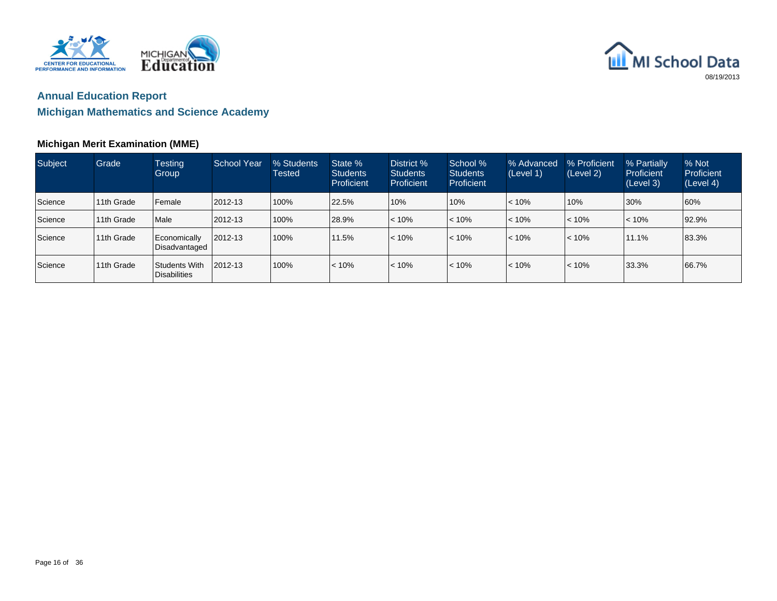



#### **Michigan Merit Examination (MME)**

| Subject | Grade       | <b>Testing</b><br>Group                | School Year | % Students<br>Tested | State %<br><b>Students</b><br>Proficient | District %<br><b>Students</b><br>Proficient | School %<br><b>Students</b><br><b>Proficient</b> | % Advanced<br>(Level 1) | % Proficient<br>(Level 2) | % Partially<br>Proficient<br>(Level 3) | % Not<br>Proficient<br>(Level 4) |
|---------|-------------|----------------------------------------|-------------|----------------------|------------------------------------------|---------------------------------------------|--------------------------------------------------|-------------------------|---------------------------|----------------------------------------|----------------------------------|
| Science | 11th Grade  | Female                                 | 2012-13     | 100%                 | 22.5%                                    | 10%                                         | 10%                                              | $< 10\%$                | 10%                       | 30%                                    | 60%                              |
| Science | 11th Grade  | <b>Male</b>                            | 2012-13     | 100%                 | 28.9%                                    | $ $ < 10%                                   | < 10%                                            | < 10%                   | $< 10\%$                  | $ $ < 10%                              | 92.9%                            |
| Science | 11th Grade  | Economically<br><b>I</b> Disadvantaged | 2012-13     | 100%                 | 11.5%                                    | $ $ < 10%                                   | $ $ < 10%                                        | $< 10\%$                | $< 10\%$                  | 11.1%                                  | 83.3%                            |
| Science | 111th Grade | Students With<br>Disabilities          | 2012-13     | 100%                 | $< 10\%$                                 | $< 10\%$                                    | < 10%                                            | $< 10\%$                | $ $ < 10%                 | 33.3%                                  | 66.7%                            |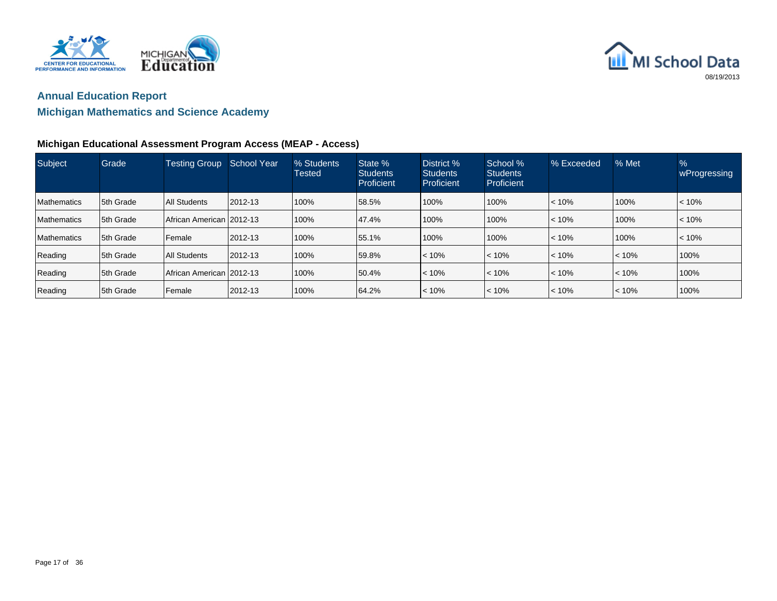



### **Michigan Mathematics and Science Academy**

#### **Michigan Educational Assessment Program Access (MEAP - Access)**

| Subject            | Grade      | <b>Testing Group</b>         | <b>School Year</b> | % Students<br><b>Tested</b> | State %<br><b>Students</b><br>Proficient | District %<br><b>Students</b><br>Proficient | School %<br><b>Students</b><br>Proficient | % Exceeded | % Met       | $\frac{9}{6}$<br>wProgressing |
|--------------------|------------|------------------------------|--------------------|-----------------------------|------------------------------------------|---------------------------------------------|-------------------------------------------|------------|-------------|-------------------------------|
| <b>Mathematics</b> | 15th Grade | <b>All Students</b>          | 2012-13            | 100%                        | 58.5%                                    | 100%                                        | 100%                                      | < 10%      | 100%        | < 10%                         |
| <b>Mathematics</b> | 15th Grade | l African American l 2012-13 |                    | 100%                        | 47.4%                                    | 100%                                        | 100%                                      | $ $ < 10%  | 100%        | < 10%                         |
| <b>Mathematics</b> | 5th Grade  | l Female                     | 2012-13            | 100%                        | 55.1%                                    | 100%                                        | 100%                                      | < 10%      | 100%        | < 10%                         |
| Reading            | 15th Grade | <b>All Students</b>          | $12012 - 13$       | 100%                        | 59.8%                                    | $ $ < 10%                                   | $ $ < 10%                                 | $ $ < 10%  | $\leq 10\%$ | 100%                          |
| Reading            | 5th Grade  | l African American l 2012-13 |                    | 100%                        | 50.4%                                    | $ $ < 10%                                   | $ $ < 10%                                 | < 10%      | $\leq 10\%$ | 100%                          |
| Reading            | 5th Grade  | Female                       | 2012-13            | 100%                        | 64.2%                                    | $ $ < 10%                                   | $ $ < 10%                                 | $ $ < 10%  | $ $ < 10%   | 100%                          |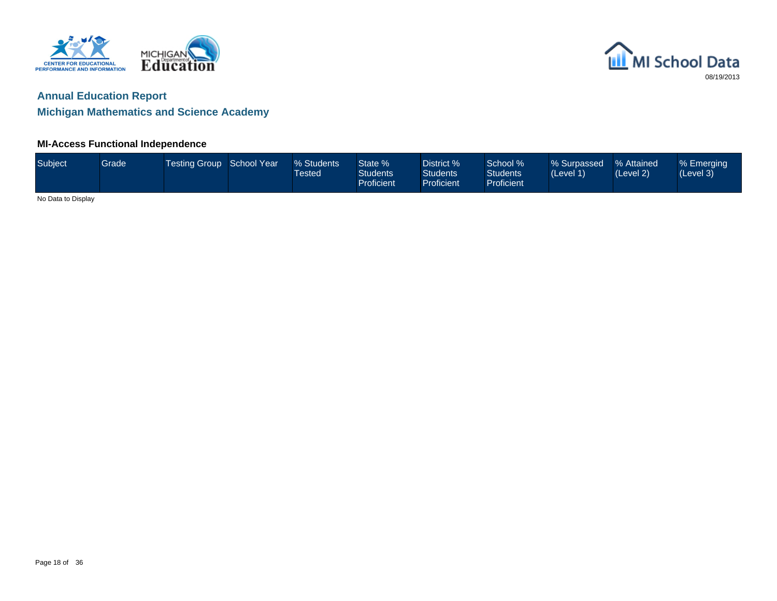

### **Annual Education Report**

### **Michigan Mathematics and Science Academy**

#### **MI-Access Functional Independence**

| Subject            | Grade | Testing Group School Year | % Students<br><b>Tested</b> | State %<br><b>Students</b><br>Proficient | District %<br><b>Students</b><br><b>Proficient</b> | School %<br><b>Students</b><br>Proficient | % Surpassed<br>(Level 1) | % Attained<br>(Level 2) | % Emerging<br>(Level 3) |
|--------------------|-------|---------------------------|-----------------------------|------------------------------------------|----------------------------------------------------|-------------------------------------------|--------------------------|-------------------------|-------------------------|
| No Data to Display |       |                           |                             |                                          |                                                    |                                           |                          |                         |                         |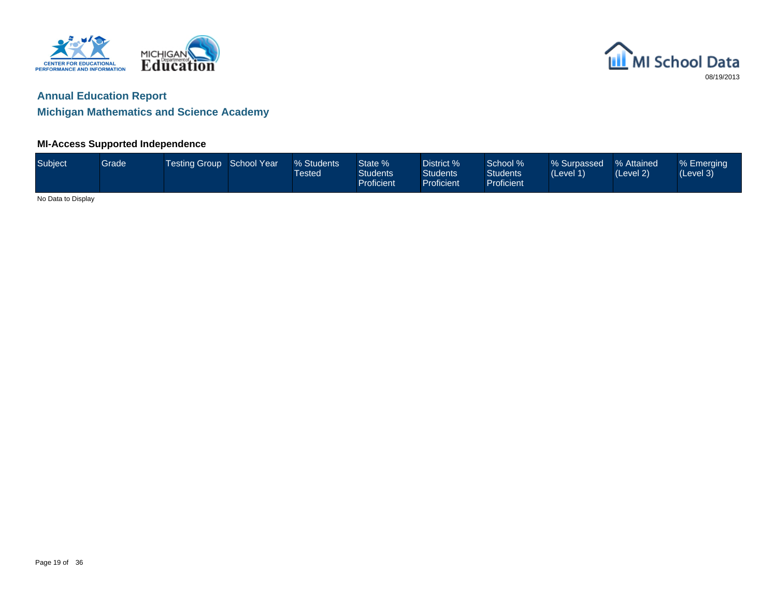

### **Annual Education Report**

**Michigan Mathematics and Science Academy**

#### **MI-Access Supported Independence**

| Subject            | Grade | Testing Group School Year | % Students<br><b>Tested</b> | State %<br><b>Students</b><br><b>Proficient</b> | District %<br><b>Students</b><br>Proficient | School %<br><b>Students</b><br>Proficient | % Surpassed<br>(Level 1) | % Attained<br>(Level 2) | % Emerging<br>(Level 3) |
|--------------------|-------|---------------------------|-----------------------------|-------------------------------------------------|---------------------------------------------|-------------------------------------------|--------------------------|-------------------------|-------------------------|
| No Data to Display |       |                           |                             |                                                 |                                             |                                           |                          |                         |                         |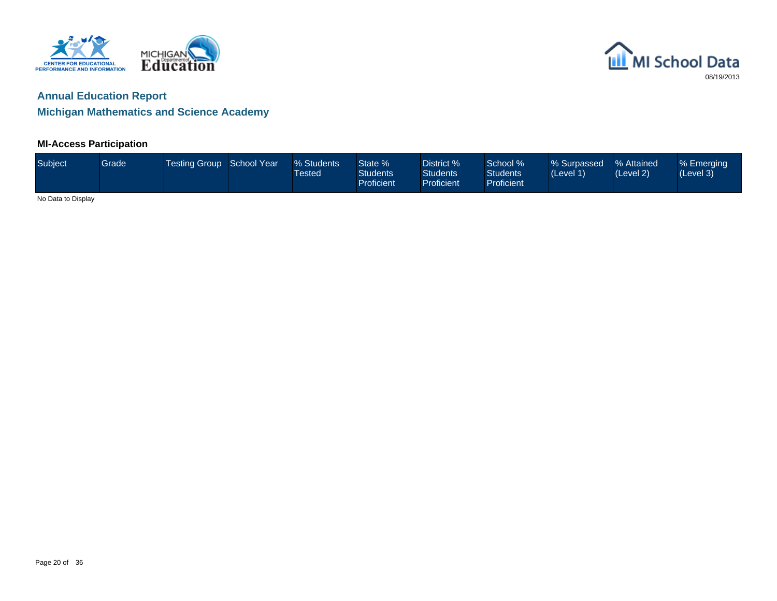

## **Annual Education Report**

### **Michigan Mathematics and Science Academy**

#### **MI-Access Participation**

| Subject            | Grade | Testing Group School Year | % Students<br>Tested | State %<br><b>Students</b><br><b>Proficient</b> | District %<br><b>Students</b><br>Proficient | School %<br><b>Students</b><br>Proficient | % Surpassed<br>(Level 1) | ■% Attained<br>(Level 2) | % Emerging<br>(Level 3) |
|--------------------|-------|---------------------------|----------------------|-------------------------------------------------|---------------------------------------------|-------------------------------------------|--------------------------|--------------------------|-------------------------|
| No Data to Display |       |                           |                      |                                                 |                                             |                                           |                          |                          |                         |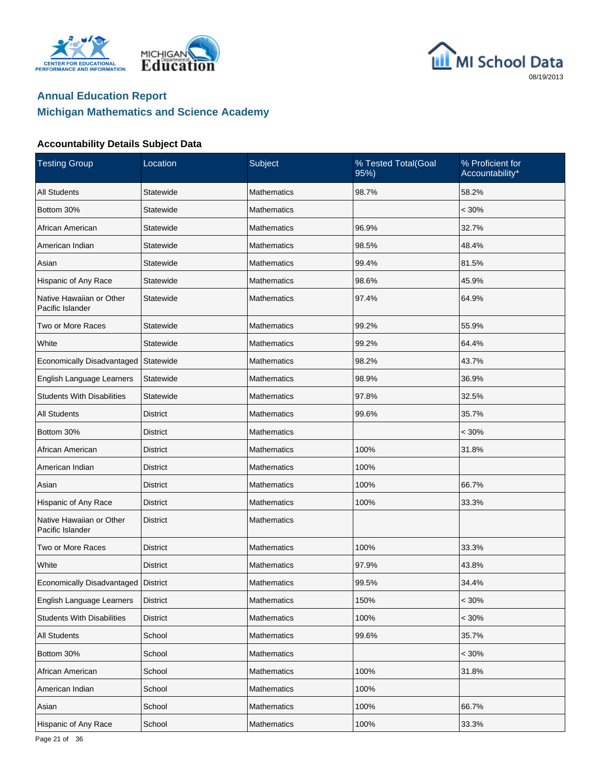





| <b>Testing Group</b>                         | Location        | Subject            | % Tested Total(Goal<br>95%) | % Proficient for<br>Accountability* |
|----------------------------------------------|-----------------|--------------------|-----------------------------|-------------------------------------|
| <b>All Students</b>                          | Statewide       | <b>Mathematics</b> | 98.7%                       | 58.2%                               |
| Bottom 30%                                   | Statewide       | <b>Mathematics</b> |                             | $< 30\%$                            |
| African American                             | Statewide       | <b>Mathematics</b> | 96.9%                       | 32.7%                               |
| American Indian                              | Statewide       | <b>Mathematics</b> | 98.5%                       | 48.4%                               |
| Asian                                        | Statewide       | <b>Mathematics</b> | 99.4%                       | 81.5%                               |
| Hispanic of Any Race                         | Statewide       | <b>Mathematics</b> | 98.6%                       | 45.9%                               |
| Native Hawaiian or Other<br>Pacific Islander | Statewide       | <b>Mathematics</b> | 97.4%                       | 64.9%                               |
| Two or More Races                            | Statewide       | <b>Mathematics</b> | 99.2%                       | 55.9%                               |
| White                                        | Statewide       | <b>Mathematics</b> | 99.2%                       | 64.4%                               |
| Economically Disadvantaged                   | Statewide       | <b>Mathematics</b> | 98.2%                       | 43.7%                               |
| English Language Learners                    | Statewide       | <b>Mathematics</b> | 98.9%                       | 36.9%                               |
| <b>Students With Disabilities</b>            | Statewide       | <b>Mathematics</b> | 97.8%                       | 32.5%                               |
| <b>All Students</b>                          | <b>District</b> | <b>Mathematics</b> | 99.6%                       | 35.7%                               |
| Bottom 30%                                   | District        | <b>Mathematics</b> |                             | $< 30\%$                            |
| African American                             | <b>District</b> | <b>Mathematics</b> | 100%                        | 31.8%                               |
| American Indian                              | District        | <b>Mathematics</b> | 100%                        |                                     |
| Asian                                        | <b>District</b> | <b>Mathematics</b> | 100%                        | 66.7%                               |
| Hispanic of Any Race                         | District        | <b>Mathematics</b> | 100%                        | 33.3%                               |
| Native Hawaiian or Other<br>Pacific Islander | <b>District</b> | <b>Mathematics</b> |                             |                                     |
| Two or More Races                            | <b>District</b> | <b>Mathematics</b> | 100%                        | 33.3%                               |
| White                                        | <b>District</b> | <b>Mathematics</b> | 97.9%                       | 43.8%                               |
| Economically Disadvantaged   District        |                 | <b>Mathematics</b> | 99.5%                       | 34.4%                               |
| English Language Learners                    | <b>District</b> | Mathematics        | 150%                        | $< 30\%$                            |
| <b>Students With Disabilities</b>            | <b>District</b> | Mathematics        | 100%                        | $< 30\%$                            |
| All Students                                 | School          | Mathematics        | 99.6%                       | 35.7%                               |
| Bottom 30%                                   | School          | Mathematics        |                             | $< 30\%$                            |
| African American                             | School          | Mathematics        | 100%                        | 31.8%                               |
| American Indian                              | School          | Mathematics        | 100%                        |                                     |
| Asian                                        | School          | Mathematics        | 100%                        | 66.7%                               |
| Hispanic of Any Race                         | School          | Mathematics        | 100%                        | 33.3%                               |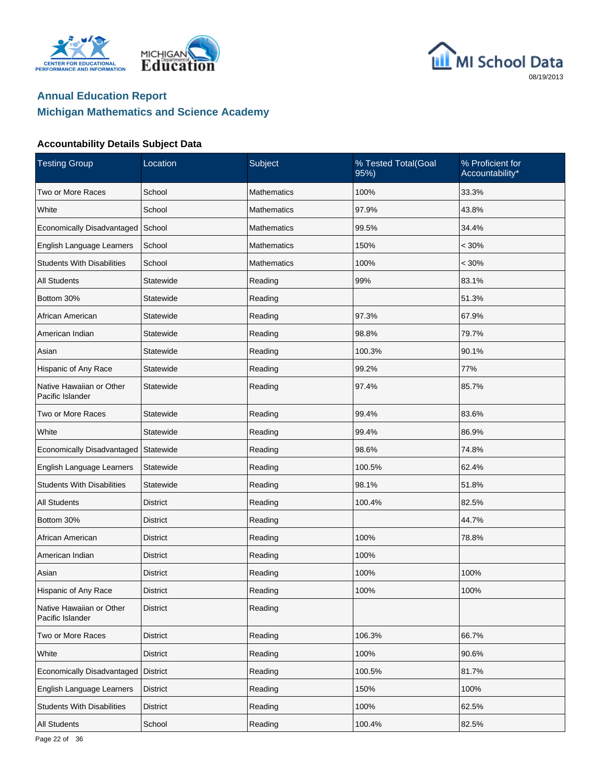





| <b>Testing Group</b>                         | Location        | Subject            | % Tested Total(Goal<br>95%) | % Proficient for<br>Accountability* |
|----------------------------------------------|-----------------|--------------------|-----------------------------|-------------------------------------|
| Two or More Races                            | School          | <b>Mathematics</b> | 100%                        | 33.3%                               |
| White                                        | School          | <b>Mathematics</b> | 97.9%                       | 43.8%                               |
| <b>Economically Disadvantaged</b>            | School          | <b>Mathematics</b> | 99.5%                       | 34.4%                               |
| English Language Learners                    | School          | <b>Mathematics</b> | 150%                        | $< 30\%$                            |
| <b>Students With Disabilities</b>            | School          | Mathematics        | 100%                        | $< 30\%$                            |
| <b>All Students</b>                          | Statewide       | Reading            | 99%                         | 83.1%                               |
| Bottom 30%                                   | Statewide       | Reading            |                             | 51.3%                               |
| African American                             | Statewide       | Reading            | 97.3%                       | 67.9%                               |
| American Indian                              | Statewide       | Reading            | 98.8%                       | 79.7%                               |
| Asian                                        | Statewide       | Reading            | 100.3%                      | 90.1%                               |
| Hispanic of Any Race                         | Statewide       | Reading            | 99.2%                       | 77%                                 |
| Native Hawaiian or Other<br>Pacific Islander | Statewide       | Reading            | 97.4%                       | 85.7%                               |
| Two or More Races                            | Statewide       | Reading            | 99.4%                       | 83.6%                               |
| White                                        | Statewide       | Reading            | 99.4%                       | 86.9%                               |
| Economically Disadvantaged                   | Statewide       | Reading            | 98.6%                       | 74.8%                               |
| English Language Learners                    | Statewide       | Reading            | 100.5%                      | 62.4%                               |
| <b>Students With Disabilities</b>            | Statewide       | Reading            | 98.1%                       | 51.8%                               |
| <b>All Students</b>                          | <b>District</b> | Reading            | 100.4%                      | 82.5%                               |
| Bottom 30%                                   | <b>District</b> | Reading            |                             | 44.7%                               |
| African American                             | <b>District</b> | Reading            | 100%                        | 78.8%                               |
| American Indian                              | <b>District</b> | Reading            | 100%                        |                                     |
| Asian                                        | District        | Reading            | 100%                        | 100%                                |
| Hispanic of Any Race                         | <b>District</b> | Reading            | 100%                        | 100%                                |
| Native Hawaiian or Other<br>Pacific Islander | <b>District</b> | Reading            |                             |                                     |
| Two or More Races                            | <b>District</b> | Reading            | 106.3%                      | 66.7%                               |
| White                                        | District        | Reading            | 100%                        | 90.6%                               |
| Economically Disadvantaged                   | <b>District</b> | Reading            | 100.5%                      | 81.7%                               |
| English Language Learners                    | <b>District</b> | Reading            | 150%                        | 100%                                |
| <b>Students With Disabilities</b>            | <b>District</b> | Reading            | 100%                        | 62.5%                               |
| <b>All Students</b>                          | School          | Reading            | 100.4%                      | 82.5%                               |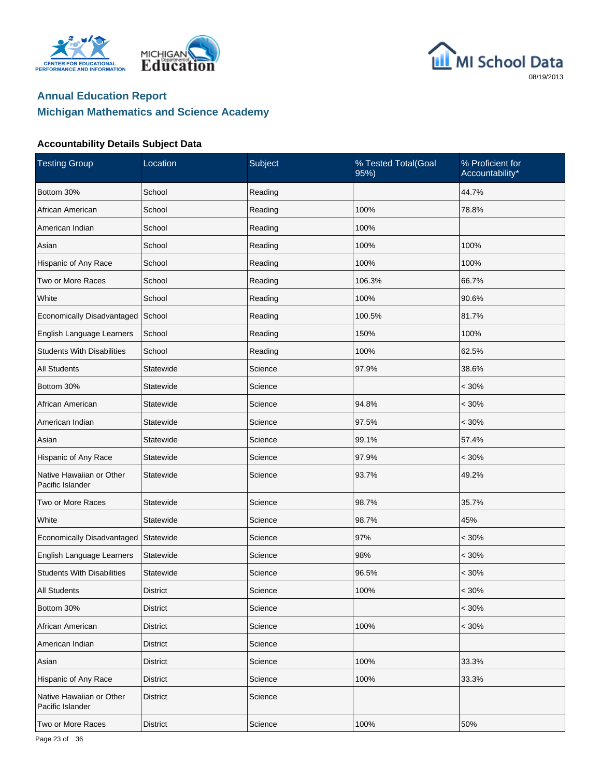





| <b>Testing Group</b>                         | Location        | Subject | % Tested Total(Goal<br>95%) | % Proficient for<br>Accountability* |
|----------------------------------------------|-----------------|---------|-----------------------------|-------------------------------------|
| Bottom 30%                                   | School          | Reading |                             | 44.7%                               |
| African American                             | School          | Reading | 100%                        | 78.8%                               |
| American Indian                              | School          | Reading | 100%                        |                                     |
| Asian                                        | School          | Reading | 100%                        | 100%                                |
| Hispanic of Any Race                         | School          | Reading | 100%                        | 100%                                |
| Two or More Races                            | School          | Reading | 106.3%                      | 66.7%                               |
| White                                        | School          | Reading | 100%                        | 90.6%                               |
| Economically Disadvantaged School            |                 | Reading | 100.5%                      | 81.7%                               |
| English Language Learners                    | School          | Reading | 150%                        | 100%                                |
| <b>Students With Disabilities</b>            | School          | Reading | 100%                        | 62.5%                               |
| <b>All Students</b>                          | Statewide       | Science | 97.9%                       | 38.6%                               |
| Bottom 30%                                   | Statewide       | Science |                             | $< 30\%$                            |
| African American                             | Statewide       | Science | 94.8%                       | $< 30\%$                            |
| American Indian                              | Statewide       | Science | 97.5%                       | $< 30\%$                            |
| Asian                                        | Statewide       | Science | 99.1%                       | 57.4%                               |
| Hispanic of Any Race                         | Statewide       | Science | 97.9%                       | $< 30\%$                            |
| Native Hawaiian or Other<br>Pacific Islander | Statewide       | Science | 93.7%                       | 49.2%                               |
| Two or More Races                            | Statewide       | Science | 98.7%                       | 35.7%                               |
| White                                        | Statewide       | Science | 98.7%                       | 45%                                 |
| Economically Disadvantaged                   | Statewide       | Science | 97%                         | $< 30\%$                            |
| English Language Learners                    | Statewide       | Science | 98%                         | $< 30\%$                            |
| <b>Students With Disabilities</b>            | Statewide       | Science | 96.5%                       | $< 30\%$                            |
| <b>All Students</b>                          | District        | Science | 100%                        | $< 30\%$                            |
| Bottom 30%                                   | District        | Science |                             | $< 30\%$                            |
| African American                             | <b>District</b> | Science | 100%                        | $< 30\%$                            |
| American Indian                              | <b>District</b> | Science |                             |                                     |
| Asian                                        | <b>District</b> | Science | 100%                        | 33.3%                               |
| Hispanic of Any Race                         | <b>District</b> | Science | 100%                        | 33.3%                               |
| Native Hawaiian or Other<br>Pacific Islander | <b>District</b> | Science |                             |                                     |
| Two or More Races                            | <b>District</b> | Science | 100%                        | 50%                                 |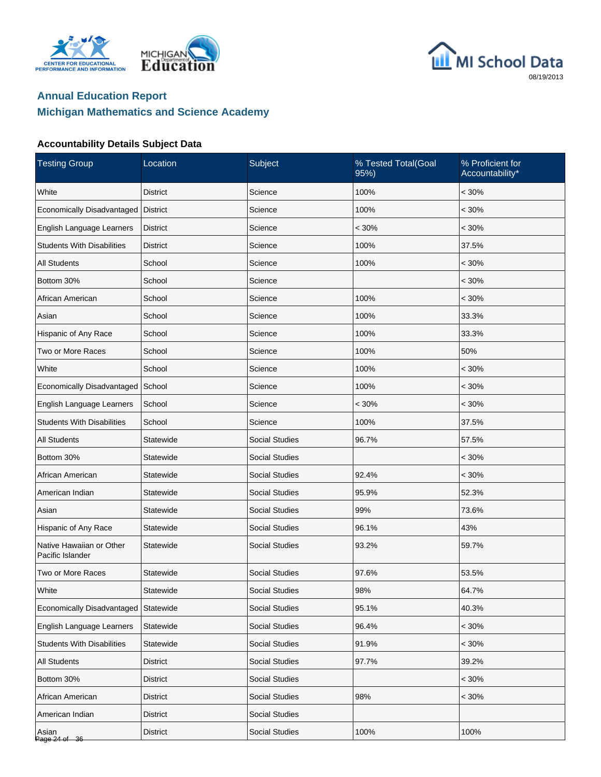





| <b>Testing Group</b>                         | Location        | Subject               | % Tested Total(Goal<br>95%) | % Proficient for<br>Accountability* |
|----------------------------------------------|-----------------|-----------------------|-----------------------------|-------------------------------------|
| White                                        | <b>District</b> | Science               | 100%                        | $< 30\%$                            |
| Economically Disadvantaged                   | <b>District</b> | Science               | 100%                        | $< 30\%$                            |
| English Language Learners                    | <b>District</b> | Science               | $< 30\%$                    | $< 30\%$                            |
| <b>Students With Disabilities</b>            | <b>District</b> | Science               | 100%                        | 37.5%                               |
| <b>All Students</b>                          | School          | Science               | 100%                        | $< 30\%$                            |
| Bottom 30%                                   | School          | Science               |                             | $< 30\%$                            |
| African American                             | School          | Science               | 100%                        | $< 30\%$                            |
| Asian                                        | School          | Science               | 100%                        | 33.3%                               |
| Hispanic of Any Race                         | School          | Science               | 100%                        | 33.3%                               |
| Two or More Races                            | School          | Science               | 100%                        | 50%                                 |
| White                                        | School          | Science               | 100%                        | $< 30\%$                            |
| Economically Disadvantaged                   | School          | Science               | 100%                        | $< 30\%$                            |
| English Language Learners                    | School          | Science               | $< 30\%$                    | $< 30\%$                            |
| <b>Students With Disabilities</b>            | School          | Science               | 100%                        | 37.5%                               |
| <b>All Students</b>                          | Statewide       | <b>Social Studies</b> | 96.7%                       | 57.5%                               |
| Bottom 30%                                   | Statewide       | <b>Social Studies</b> |                             | $< 30\%$                            |
| African American                             | Statewide       | <b>Social Studies</b> | 92.4%                       | $< 30\%$                            |
| American Indian                              | Statewide       | <b>Social Studies</b> | 95.9%                       | 52.3%                               |
| Asian                                        | Statewide       | <b>Social Studies</b> | 99%                         | 73.6%                               |
| Hispanic of Any Race                         | Statewide       | <b>Social Studies</b> | 96.1%                       | 43%                                 |
| Native Hawaiian or Other<br>Pacific Islander | Statewide       | <b>Social Studies</b> | 93.2%                       | 59.7%                               |
| Two or More Races                            | Statewide       | <b>Social Studies</b> | 97.6%                       | 53.5%                               |
| White                                        | Statewide       | Social Studies        | 98%                         | 64.7%                               |
| Economically Disadvantaged                   | Statewide       | Social Studies        | 95.1%                       | 40.3%                               |
| <b>English Language Learners</b>             | Statewide       | <b>Social Studies</b> | 96.4%                       | $< 30\%$                            |
| <b>Students With Disabilities</b>            | Statewide       | <b>Social Studies</b> | 91.9%                       | $< 30\%$                            |
| All Students                                 | <b>District</b> | Social Studies        | 97.7%                       | 39.2%                               |
| Bottom 30%                                   | <b>District</b> | Social Studies        |                             | $< 30\%$                            |
| African American                             | <b>District</b> | <b>Social Studies</b> | 98%                         | $< 30\%$                            |
| American Indian                              | <b>District</b> | Social Studies        |                             |                                     |
| Asian<br>Page 24 of 36                       | District        | Social Studies        | 100%                        | 100%                                |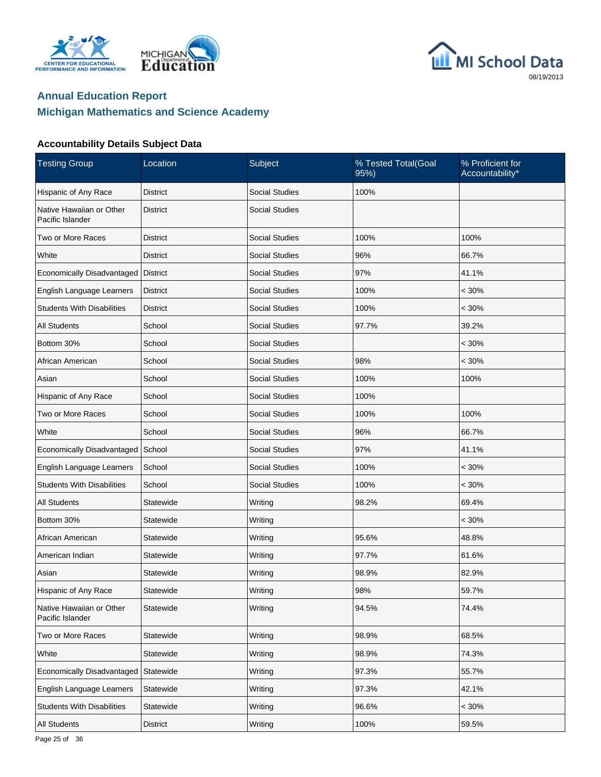





| <b>Testing Group</b>                         | Location        | Subject               | % Tested Total(Goal<br>95%) | % Proficient for<br>Accountability* |
|----------------------------------------------|-----------------|-----------------------|-----------------------------|-------------------------------------|
| Hispanic of Any Race                         | District        | <b>Social Studies</b> | 100%                        |                                     |
| Native Hawaiian or Other<br>Pacific Islander | District        | <b>Social Studies</b> |                             |                                     |
| Two or More Races                            | District        | <b>Social Studies</b> | 100%                        | 100%                                |
| White                                        | District        | <b>Social Studies</b> | 96%                         | 66.7%                               |
| Economically Disadvantaged                   | <b>District</b> | <b>Social Studies</b> | 97%                         | 41.1%                               |
| English Language Learners                    | <b>District</b> | <b>Social Studies</b> | 100%                        | $< 30\%$                            |
| <b>Students With Disabilities</b>            | District        | <b>Social Studies</b> | 100%                        | $< 30\%$                            |
| All Students                                 | School          | <b>Social Studies</b> | 97.7%                       | 39.2%                               |
| Bottom 30%                                   | School          | <b>Social Studies</b> |                             | $< 30\%$                            |
| African American                             | School          | <b>Social Studies</b> | 98%                         | $< 30\%$                            |
| Asian                                        | School          | <b>Social Studies</b> | 100%                        | 100%                                |
| Hispanic of Any Race                         | School          | <b>Social Studies</b> | 100%                        |                                     |
| Two or More Races                            | School          | <b>Social Studies</b> | 100%                        | 100%                                |
| White                                        | School          | <b>Social Studies</b> | 96%                         | 66.7%                               |
| Economically Disadvantaged                   | School          | <b>Social Studies</b> | 97%                         | 41.1%                               |
| English Language Learners                    | School          | <b>Social Studies</b> | 100%                        | $< 30\%$                            |
| <b>Students With Disabilities</b>            | School          | <b>Social Studies</b> | 100%                        | $< 30\%$                            |
| All Students                                 | Statewide       | Writing               | 98.2%                       | 69.4%                               |
| Bottom 30%                                   | Statewide       | Writing               |                             | $< 30\%$                            |
| African American                             | Statewide       | Writing               | 95.6%                       | 48.8%                               |
| American Indian                              | Statewide       | Writing               | 97.7%                       | 61.6%                               |
| Asian                                        | Statewide       | Writing               | 98.9%                       | 82.9%                               |
| Hispanic of Any Race                         | Statewide       | Writing               | 98%                         | 59.7%                               |
| Native Hawaiian or Other<br>Pacific Islander | Statewide       | Writing               | 94.5%                       | 74.4%                               |
| Two or More Races                            | Statewide       | Writing               | 98.9%                       | 68.5%                               |
| White                                        | Statewide       | Writing               | 98.9%                       | 74.3%                               |
| Economically Disadvantaged                   | Statewide       | Writing               | 97.3%                       | 55.7%                               |
| English Language Learners                    | Statewide       | Writing               | 97.3%                       | 42.1%                               |
| <b>Students With Disabilities</b>            | Statewide       | Writing               | 96.6%                       | $< 30\%$                            |
| All Students                                 | <b>District</b> | Writing               | 100%                        | 59.5%                               |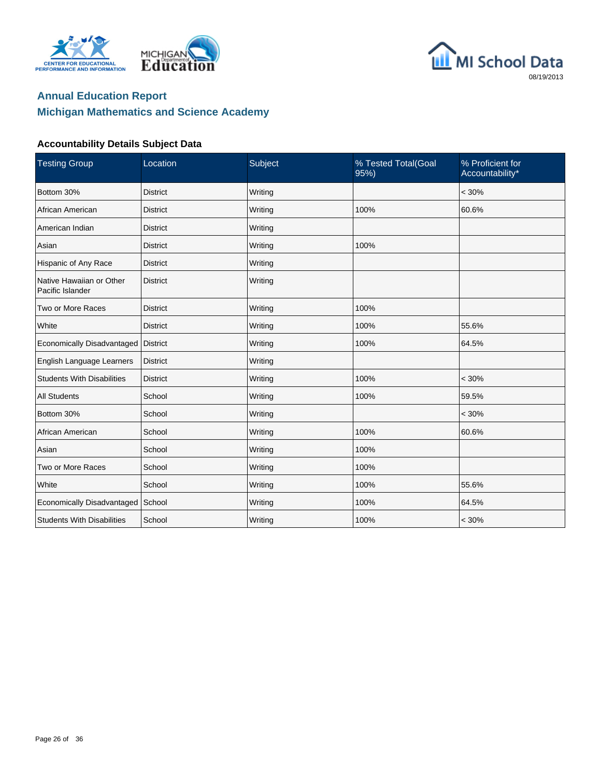





| <b>Testing Group</b>                         | Location        | Subject | % Tested Total(Goal<br>95%) | % Proficient for<br>Accountability* |
|----------------------------------------------|-----------------|---------|-----------------------------|-------------------------------------|
| Bottom 30%                                   | <b>District</b> | Writing |                             | $< 30\%$                            |
| African American                             | <b>District</b> | Writing | 100%                        | 60.6%                               |
| American Indian                              | <b>District</b> | Writing |                             |                                     |
| Asian                                        | <b>District</b> | Writing | 100%                        |                                     |
| Hispanic of Any Race                         | <b>District</b> | Writing |                             |                                     |
| Native Hawaiian or Other<br>Pacific Islander | <b>District</b> | Writing |                             |                                     |
| Two or More Races                            | <b>District</b> | Writing | 100%                        |                                     |
| White                                        | <b>District</b> | Writing | 100%                        | 55.6%                               |
| Economically Disadvantaged                   | <b>District</b> | Writing | 100%                        | 64.5%                               |
| English Language Learners                    | <b>District</b> | Writing |                             |                                     |
| <b>Students With Disabilities</b>            | <b>District</b> | Writing | 100%                        | $< 30\%$                            |
| <b>All Students</b>                          | School          | Writing | 100%                        | 59.5%                               |
| Bottom 30%                                   | School          | Writing |                             | $< 30\%$                            |
| African American                             | School          | Writing | 100%                        | 60.6%                               |
| Asian                                        | School          | Writing | 100%                        |                                     |
| Two or More Races                            | School          | Writing | 100%                        |                                     |
| White                                        | School          | Writing | 100%                        | 55.6%                               |
| Economically Disadvantaged                   | School          | Writing | 100%                        | 64.5%                               |
| <b>Students With Disabilities</b>            | School          | Writing | 100%                        | $< 30\%$                            |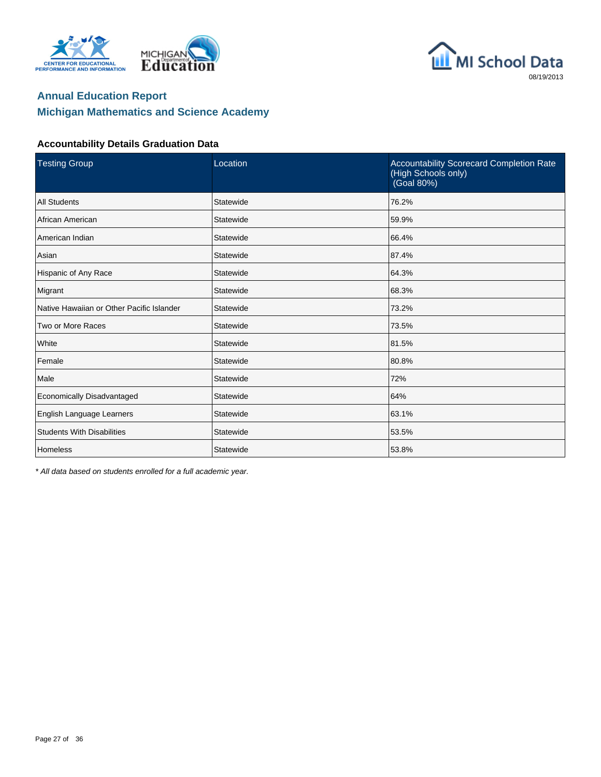





#### **Accountability Details Graduation Data**

| <b>Testing Group</b>                      | Location  | Accountability Scorecard Completion Rate<br>(High Schools only)<br>(Goal 80%) |
|-------------------------------------------|-----------|-------------------------------------------------------------------------------|
| <b>All Students</b>                       | Statewide | 76.2%                                                                         |
| African American                          | Statewide | 59.9%                                                                         |
| American Indian                           | Statewide | 66.4%                                                                         |
| Asian                                     | Statewide | 87.4%                                                                         |
| Hispanic of Any Race                      | Statewide | 64.3%                                                                         |
| Migrant                                   | Statewide | 68.3%                                                                         |
| Native Hawaiian or Other Pacific Islander | Statewide | 73.2%                                                                         |
| Two or More Races                         | Statewide | 73.5%                                                                         |
| White                                     | Statewide | 81.5%                                                                         |
| Female                                    | Statewide | 80.8%                                                                         |
| Male                                      | Statewide | 72%                                                                           |
| Economically Disadvantaged                | Statewide | 64%                                                                           |
| English Language Learners                 | Statewide | 63.1%                                                                         |
| <b>Students With Disabilities</b>         | Statewide | 53.5%                                                                         |
| Homeless                                  | Statewide | 53.8%                                                                         |

\* All data based on students enrolled for a full academic year.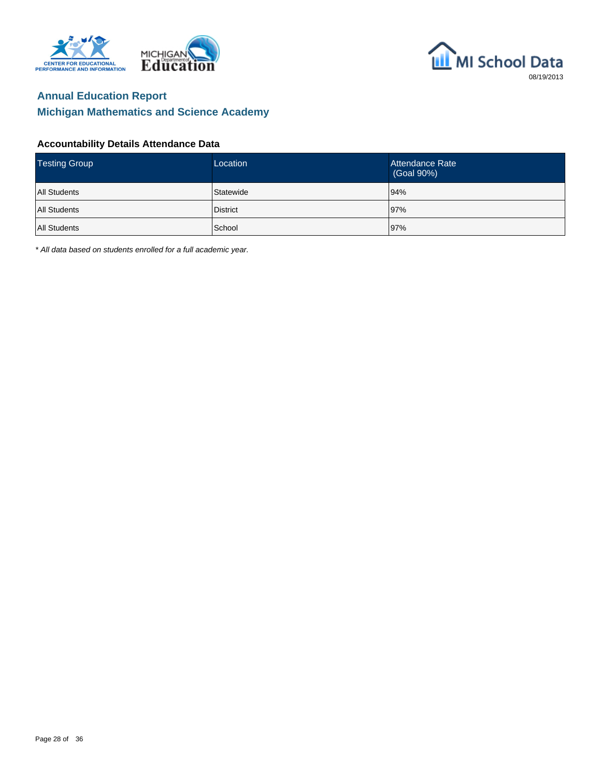





#### **Accountability Details Attendance Data**

| <b>Testing Group</b> | Location        | Attendance Rate<br>(Goal 90%) |
|----------------------|-----------------|-------------------------------|
| <b>All Students</b>  | Statewide       | 94%                           |
| <b>All Students</b>  | <b>District</b> | 97%                           |
| <b>All Students</b>  | School          | 97%                           |

\* All data based on students enrolled for a full academic year.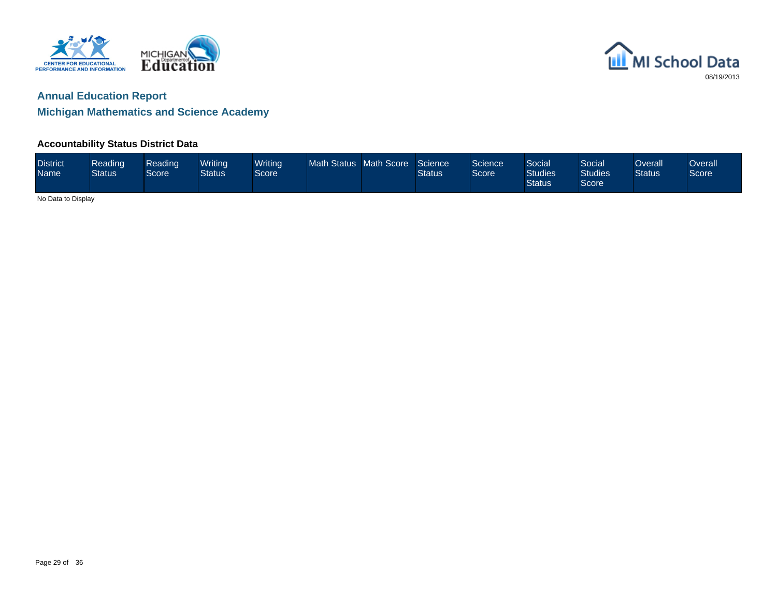

## **Annual Education Report**

### **Michigan Mathematics and Science Academy**

#### **Accountability Status District Data**

| <b>District</b><br><b>Name</b> | <b>Reading</b><br><b>Status</b> | Reading<br>Score | Writina<br><b>Status</b> | <b>Writing</b><br>Score | Math Status Math Score |  | Science<br><b>Status</b> | Science<br>Score | Social <sup>1</sup><br><b>Studies</b><br><b>Status</b> | Social<br>Studies<br>Score | <b>Verall</b><br><b>Status</b> | <b>Overall</b><br>Score |
|--------------------------------|---------------------------------|------------------|--------------------------|-------------------------|------------------------|--|--------------------------|------------------|--------------------------------------------------------|----------------------------|--------------------------------|-------------------------|
|                                | No Dota to Dianley              |                  |                          |                         |                        |  |                          |                  |                                                        |                            |                                |                         |

No Data to Display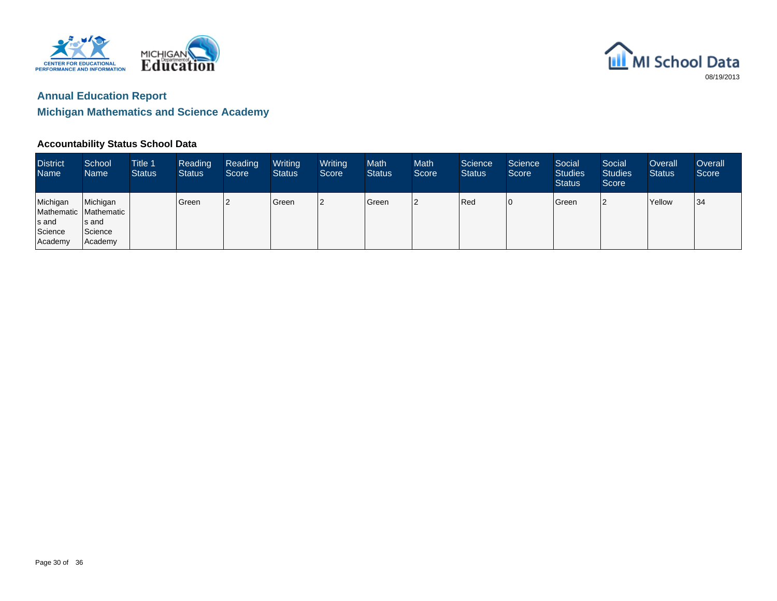



#### **Accountability Status School Data**

| <b>District</b><br><b>Name</b>          | School<br><b>Name</b>                                                | Title 1<br><b>Status</b> | Reading<br><b>Status</b> | Reading<br>Score | Writing<br>Status | Writing<br>Score | <b>Math</b><br><b>Status</b> | <b>Math</b><br>Score | Science<br><b>Status</b> | Science<br>Score | Social<br><b>Studies</b><br><b>Status</b> | Social<br><b>Studies</b><br>Score | Overall<br><b>Status</b> | Overall<br>Score |
|-----------------------------------------|----------------------------------------------------------------------|--------------------------|--------------------------|------------------|-------------------|------------------|------------------------------|----------------------|--------------------------|------------------|-------------------------------------------|-----------------------------------|--------------------------|------------------|
| Michigan<br>s and<br>Science<br>Academy | Michigan<br>Mathematic   Mathematic  <br>s and<br>Science<br>Academy |                          | l Green                  | 12               | Green             | 2                | Green                        | 12                   | Red                      | 10               | Green                                     |                                   | Yellow                   | 34               |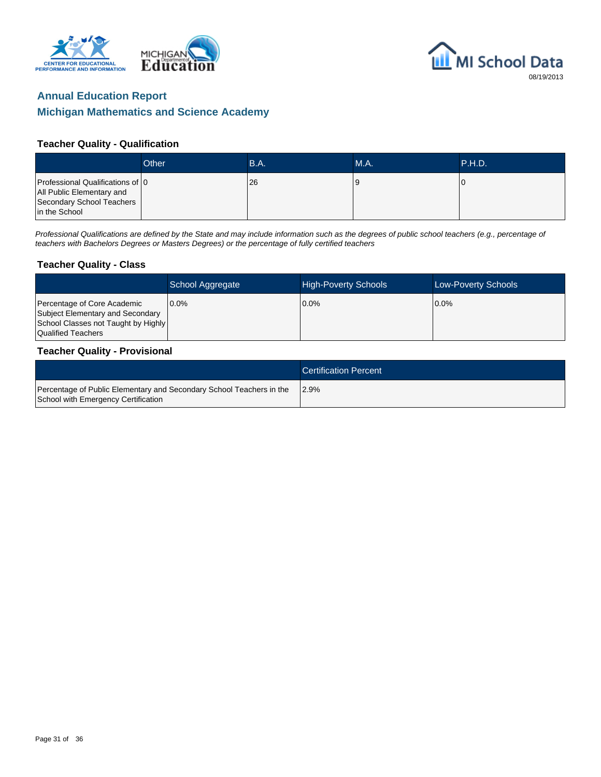





#### **Teacher Quality - Qualification**

|                                                                                                             | Other | <b>B.A.</b> | MA. | <b>\P.H.D.</b> |
|-------------------------------------------------------------------------------------------------------------|-------|-------------|-----|----------------|
| Professional Qualifications of 0<br>All Public Elementary and<br>Secondary School Teachers<br>in the School |       | <b>26</b>   |     |                |

Professional Qualifications are defined by the State and may include information such as the degrees of public school teachers (e.g., percentage of teachers with Bachelors Degrees or Masters Degrees) or the percentage of fully certified teachers

#### **Teacher Quality - Class**

|                                                                                                                              | School Aggregate | <b>High-Poverty Schools</b> | <b>Low-Poverty Schools</b> |
|------------------------------------------------------------------------------------------------------------------------------|------------------|-----------------------------|----------------------------|
| Percentage of Core Academic<br>Subject Elementary and Secondary<br>School Classes not Taught by Highly<br>Qualified Teachers | $0.0\%$          | $0.0\%$                     | $0.0\%$                    |

#### **Teacher Quality - Provisional**

|                                                                                                             | <b>Certification Percent</b> |
|-------------------------------------------------------------------------------------------------------------|------------------------------|
| Percentage of Public Elementary and Secondary School Teachers in the<br>School with Emergency Certification | 12.9%                        |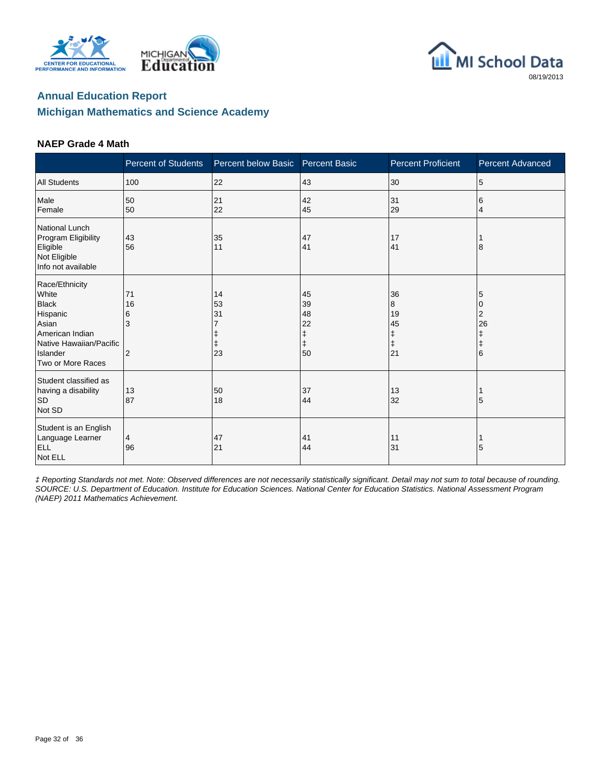





#### **NAEP Grade 4 Math**

|                                                                                                                                             | <b>Percent of Students</b>           | Percent below Basic  | <b>Percent Basic</b>                                                                  | <b>Percent Proficient</b>                    | <b>Percent Advanced</b>                   |
|---------------------------------------------------------------------------------------------------------------------------------------------|--------------------------------------|----------------------|---------------------------------------------------------------------------------------|----------------------------------------------|-------------------------------------------|
| <b>All Students</b>                                                                                                                         | 100                                  | 22                   | 43                                                                                    | 30                                           | 5                                         |
| Male<br>Female                                                                                                                              | 50<br>50                             | 21<br>22             | 42<br>45                                                                              | 31<br>29                                     | 6<br>4                                    |
| National Lunch<br>Program Eligibility<br>Eligible<br>Not Eligible<br>Info not available                                                     | 43<br>56                             | 35<br>11             | 47<br>41                                                                              | 17<br>41                                     | 8                                         |
| Race/Ethnicity<br>White<br><b>Black</b><br>Hispanic<br>Asian<br>American Indian<br>Native Hawaiian/Pacific<br>Islander<br>Two or More Races | 71<br>16<br>6<br>3<br>$\overline{2}$ | 14<br>53<br>31<br>23 | 45<br>39<br>48<br>22<br>$\begin{array}{c} \texttt{+} \\ \texttt{+} \end{array}$<br>50 | 36<br>8<br>19<br>45<br>ŧ<br>$\ddagger$<br>21 | 5<br>0<br>2<br>26<br>ŧ<br>$\ddagger$<br>6 |
| Student classified as<br>having a disability<br><b>SD</b><br>Not SD                                                                         | 13<br>87                             | 50<br>18             | 37<br>44                                                                              | 13<br>32                                     | 5                                         |
| Student is an English<br>Language Learner<br><b>ELL</b><br>Not ELL                                                                          | 4<br>96                              | 47<br>21             | 41<br>44                                                                              | 11<br>31                                     | 5                                         |

‡ Reporting Standards not met. Note: Observed differences are not necessarily statistically significant. Detail may not sum to total because of rounding. SOURCE: U.S. Department of Education. Institute for Education Sciences. National Center for Education Statistics. National Assessment Program (NAEP) 2011 Mathematics Achievement.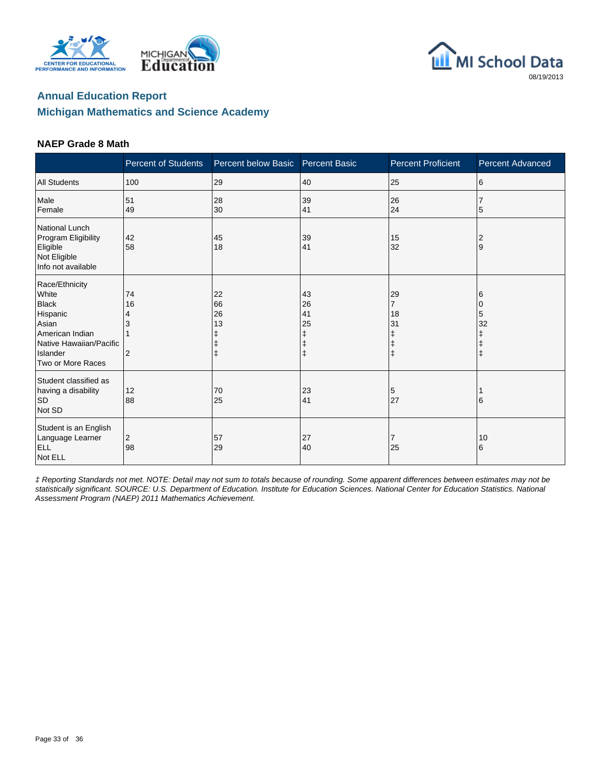





#### **NAEP Grade 8 Math**

|                                                                                                                                             | <b>Percent of Students</b> | Percent below Basic       | <b>Percent Basic</b>           | <b>Percent Proficient</b>                                | <b>Percent Advanced</b>                |
|---------------------------------------------------------------------------------------------------------------------------------------------|----------------------------|---------------------------|--------------------------------|----------------------------------------------------------|----------------------------------------|
| <b>All Students</b>                                                                                                                         | 100                        | 29                        | 40                             | 25                                                       | 6                                      |
| Male<br>Female                                                                                                                              | 51<br>49                   | 28<br>30                  | 39<br>41                       | 26<br>24                                                 | 7<br>5                                 |
| National Lunch<br>Program Eligibility<br>Eligible<br>Not Eligible<br>Info not available                                                     | 42<br>58                   | 45<br>18                  | 39<br>41                       | 15<br>32                                                 | 2<br>.9                                |
| Race/Ethnicity<br>White<br><b>Black</b><br>Hispanic<br>Asian<br>American Indian<br>Native Hawaiian/Pacific<br>Islander<br>Two or More Races | 74<br>16<br>4<br>2         | 22<br>66<br>26<br>13<br>ŧ | 43<br>26<br>41<br>25<br>ŧ<br>ŧ | 29<br>$\overline{7}$<br>18<br>31<br>ŧ<br>ŧ<br>$\ddagger$ | 6<br>$\Omega$<br>5<br>32<br>$\ddagger$ |
| Student classified as<br>having a disability<br><b>SD</b><br>Not SD                                                                         | 12<br>88                   | 70<br>25                  | 23<br>41                       | 5<br>27                                                  | 6                                      |
| Student is an English<br>Language Learner<br><b>ELL</b><br>Not ELL                                                                          | 2<br>98                    | 57<br>29                  | 27<br>40                       | 7<br>25                                                  | 10<br>6                                |

‡ Reporting Standards not met. NOTE: Detail may not sum to totals because of rounding. Some apparent differences between estimates may not be statistically significant. SOURCE: U.S. Department of Education. Institute for Education Sciences. National Center for Education Statistics. National Assessment Program (NAEP) 2011 Mathematics Achievement.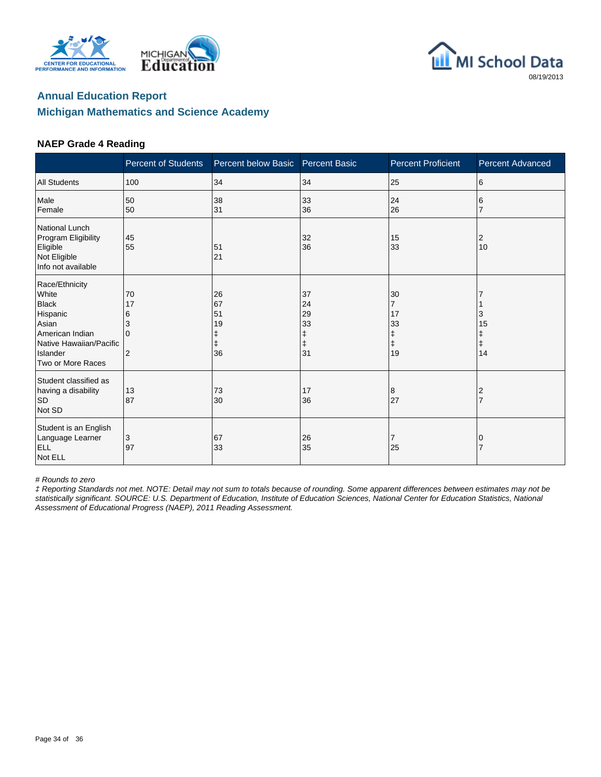





#### **NAEP Grade 4 Reading**

|                                                                                                                                             | <b>Percent of Students</b>                       | Percent below Basic        | <b>Percent Basic</b>                                   | <b>Percent Proficient</b>                                 | <b>Percent Advanced</b>          |
|---------------------------------------------------------------------------------------------------------------------------------------------|--------------------------------------------------|----------------------------|--------------------------------------------------------|-----------------------------------------------------------|----------------------------------|
| <b>All Students</b>                                                                                                                         | 100                                              | 34                         | 34                                                     | 25                                                        | 6                                |
| Male<br>Female                                                                                                                              | 50<br>50                                         | 38<br>31                   | 33<br>36                                               | 24<br>26                                                  | 6                                |
| National Lunch<br>Program Eligibility<br>Eligible<br>Not Eligible<br>Info not available                                                     | 45<br>55                                         | 51<br>21                   | 32<br>36                                               | 15<br>33                                                  | 2<br>10                          |
| Race/Ethnicity<br>White<br><b>Black</b><br>Hispanic<br>Asian<br>American Indian<br>Native Hawaiian/Pacific<br>Islander<br>Two or More Races | 70<br>17<br>6<br>3<br>$\Omega$<br>$\overline{2}$ | 26<br>67<br>51<br>19<br>36 | 37<br>24<br>29<br>33<br>$\ddagger$<br>$\ddagger$<br>31 | 30<br>$\overline{7}$<br>17<br>33<br>ŧ<br>$\ddagger$<br>19 | 3<br>15<br>Ŧ<br>$\ddagger$<br>14 |
| Student classified as<br>having a disability<br><b>SD</b><br>Not SD                                                                         | 13<br>87                                         | 73<br>30                   | 17<br>36                                               | 8<br>27                                                   | 2                                |
| Student is an English<br>Language Learner<br><b>ELL</b><br>Not ELL                                                                          | 3<br>97                                          | 67<br>33                   | 26<br>35                                               | 7<br>25                                                   | 0                                |

# Rounds to zero

‡ Reporting Standards not met. NOTE: Detail may not sum to totals because of rounding. Some apparent differences between estimates may not be statistically significant. SOURCE: U.S. Department of Education, Institute of Education Sciences, National Center for Education Statistics, National Assessment of Educational Progress (NAEP), 2011 Reading Assessment.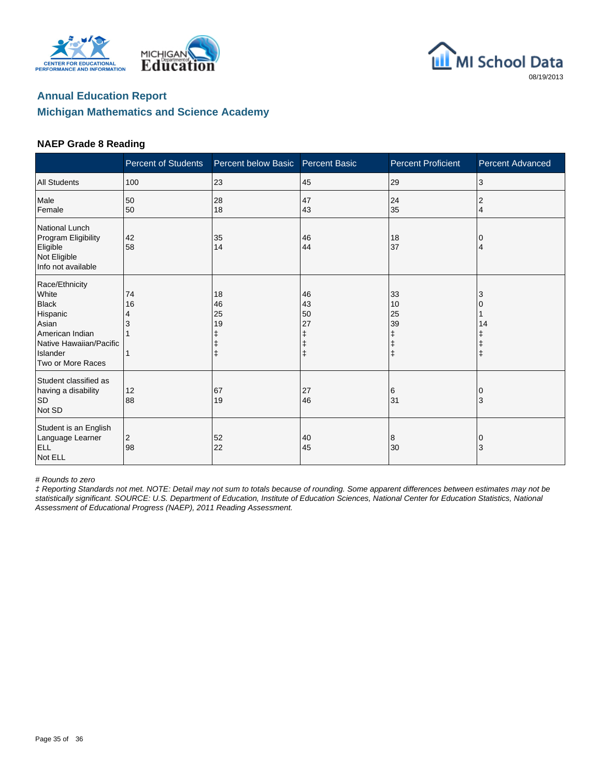





#### **NAEP Grade 8 Reading**

|                                                                                                                                             | <b>Percent of Students</b> | Percent below Basic  | <b>Percent Basic</b> | <b>Percent Proficient</b>                    | Percent Advanced |
|---------------------------------------------------------------------------------------------------------------------------------------------|----------------------------|----------------------|----------------------|----------------------------------------------|------------------|
| <b>All Students</b>                                                                                                                         | 100                        | 23                   | 45                   | 29                                           | 3                |
| Male<br>Female                                                                                                                              | 50<br>50                   | 28<br>18             | 47<br>43             | 24<br>35                                     | 2<br>4           |
| National Lunch<br>Program Eligibility<br>Eligible<br>Not Eligible<br>Info not available                                                     | 42<br>58                   | 35<br>14             | 46<br>44             | 18<br>37                                     | 0<br>4           |
| Race/Ethnicity<br>White<br><b>Black</b><br>Hispanic<br>Asian<br>American Indian<br>Native Hawaiian/Pacific<br>Islander<br>Two or More Races | 74<br>16<br>4<br>3         | 18<br>46<br>25<br>19 | 46<br>43<br>50<br>27 | 33<br>10<br>25<br>39<br>ŧ<br>ŧ<br>$\ddagger$ | 3<br>14          |
| Student classified as<br>having a disability<br><b>SD</b><br>Not SD                                                                         | 12<br>88                   | 67<br>19             | 27<br>46             | 6<br>31                                      | $\Omega$<br>3    |
| Student is an English<br>Language Learner<br><b>ELL</b><br>Not ELL                                                                          | 2<br>98                    | 52<br>22             | 40<br>45             | 8<br>30                                      | $\mathbf 0$<br>3 |

# Rounds to zero

‡ Reporting Standards not met. NOTE: Detail may not sum to totals because of rounding. Some apparent differences between estimates may not be statistically significant. SOURCE: U.S. Department of Education, Institute of Education Sciences, National Center for Education Statistics, National Assessment of Educational Progress (NAEP), 2011 Reading Assessment.